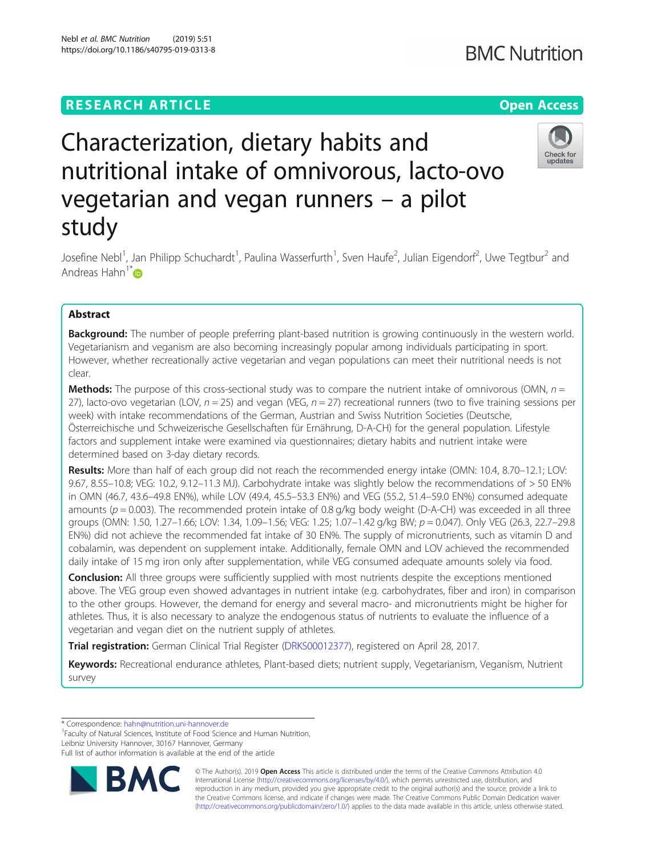**BMC Nutrition** 

# Characterization, dietary habits and nutritional intake of omnivorous, lacto-ovo vegetarian and vegan runners – a pilot study



Josefine Nebl<sup>1</sup>, Jan Philipp Schuchardt<sup>1</sup>, Paulina Wasserfurth<sup>1</sup>, Sven Haufe<sup>2</sup>, Julian Eigendorf<sup>2</sup>, Uwe Tegtbur<sup>2</sup> and Andreas Hahn $1^*$ 

## Abstract

**Background:** The number of people preferring plant-based nutrition is growing continuously in the western world. Vegetarianism and veganism are also becoming increasingly popular among individuals participating in sport. However, whether recreationally active vegetarian and vegan populations can meet their nutritional needs is not clear.

**Methods:** The purpose of this cross-sectional study was to compare the nutrient intake of omnivorous (OMN,  $n =$ 27), lacto-ovo vegetarian (LOV,  $n = 25$ ) and vegan (VEG,  $n = 27$ ) recreational runners (two to five training sessions per week) with intake recommendations of the German, Austrian and Swiss Nutrition Societies (Deutsche, Österreichische und Schweizerische Gesellschaften für Ernährung, D-A-CH) for the general population. Lifestyle factors and supplement intake were examined via questionnaires; dietary habits and nutrient intake were determined based on 3-day dietary records.

Results: More than half of each group did not reach the recommended energy intake (OMN: 10.4, 8.70–12.1; LOV: 9.67, 8.55–10.8; VEG: 10.2, 9.12–11.3 MJ). Carbohydrate intake was slightly below the recommendations of > 50 EN% in OMN (46.7, 43.6–49.8 EN%), while LOV (49.4, 45.5–53.3 EN%) and VEG (55.2, 51.4–59.0 EN%) consumed adequate amounts ( $p = 0.003$ ). The recommended protein intake of 0.8 g/kg body weight (D-A-CH) was exceeded in all three groups (OMN: 1.50, 1.27–1.66; LOV: 1.34, 1.09–1.56; VEG: 1.25; 1.07–1.42 g/kg BW; p = 0.047). Only VEG (26.3, 22.7–29.8 EN%) did not achieve the recommended fat intake of 30 EN%. The supply of micronutrients, such as vitamin D and cobalamin, was dependent on supplement intake. Additionally, female OMN and LOV achieved the recommended daily intake of 15 mg iron only after supplementation, while VEG consumed adequate amounts solely via food.

**Conclusion:** All three groups were sufficiently supplied with most nutrients despite the exceptions mentioned above. The VEG group even showed advantages in nutrient intake (e.g. carbohydrates, fiber and iron) in comparison to the other groups. However, the demand for energy and several macro- and micronutrients might be higher for athletes. Thus, it is also necessary to analyze the endogenous status of nutrients to evaluate the influence of a vegetarian and vegan diet on the nutrient supply of athletes.

Trial registration: German Clinical Trial Register ([DRKS00012377](https://www.drks.de/drks_web/setLocale_EN.do)), registered on April 28, 2017.

Keywords: Recreational endurance athletes, Plant-based diets; nutrient supply, Vegetarianism, Veganism, Nutrient survey

\* Correspondence: [hahn@nutrition.uni-hannover.de](mailto:hahn@nutrition.uni-hannover.de) <sup>1</sup>

<sup>1</sup>Faculty of Natural Sciences, Institute of Food Science and Human Nutrition, Leibniz University Hannover, 30167 Hannover, Germany

Full list of author information is available at the end of the article



© The Author(s). 2019 **Open Access** This article is distributed under the terms of the Creative Commons Attribution 4.0 International License [\(http://creativecommons.org/licenses/by/4.0/](http://creativecommons.org/licenses/by/4.0/)), which permits unrestricted use, distribution, and reproduction in any medium, provided you give appropriate credit to the original author(s) and the source, provide a link to the Creative Commons license, and indicate if changes were made. The Creative Commons Public Domain Dedication waiver [\(http://creativecommons.org/publicdomain/zero/1.0/](http://creativecommons.org/publicdomain/zero/1.0/)) applies to the data made available in this article, unless otherwise stated.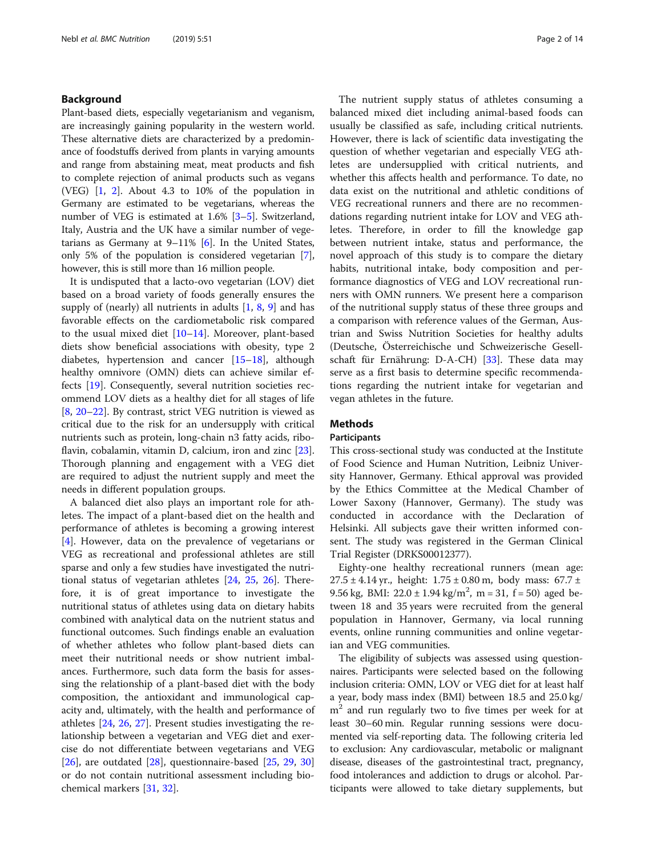#### Background

Plant-based diets, especially vegetarianism and veganism, are increasingly gaining popularity in the western world. These alternative diets are characterized by a predominance of foodstuffs derived from plants in varying amounts and range from abstaining meat, meat products and fish to complete rejection of animal products such as vegans (VEG) [[1,](#page-12-0) [2\]](#page-12-0). About 4.3 to 10% of the population in Germany are estimated to be vegetarians, whereas the number of VEG is estimated at 1.6% [\[3](#page-12-0)–[5\]](#page-12-0). Switzerland, Italy, Austria and the UK have a similar number of vegetarians as Germany at 9–11% [[6](#page-12-0)]. In the United States, only 5% of the population is considered vegetarian [[7](#page-12-0)], however, this is still more than 16 million people.

It is undisputed that a lacto-ovo vegetarian (LOV) diet based on a broad variety of foods generally ensures the supply of (nearly) all nutrients in adults  $[1, 8, 9]$  $[1, 8, 9]$  $[1, 8, 9]$  $[1, 8, 9]$  $[1, 8, 9]$  $[1, 8, 9]$  $[1, 8, 9]$  and has favorable effects on the cardiometabolic risk compared to the usual mixed diet  $[10-14]$  $[10-14]$  $[10-14]$ . Moreover, plant-based diets show beneficial associations with obesity, type 2 diabetes, hypertension and cancer [[15](#page-12-0)–[18\]](#page-12-0), although healthy omnivore (OMN) diets can achieve similar effects [[19](#page-12-0)]. Consequently, several nutrition societies recommend LOV diets as a healthy diet for all stages of life [[8,](#page-12-0) [20](#page-12-0)–[22\]](#page-12-0). By contrast, strict VEG nutrition is viewed as critical due to the risk for an undersupply with critical nutrients such as protein, long-chain n3 fatty acids, ribo-flavin, cobalamin, vitamin D, calcium, iron and zinc [\[23](#page-12-0)]. Thorough planning and engagement with a VEG diet are required to adjust the nutrient supply and meet the needs in different population groups.

A balanced diet also plays an important role for athletes. The impact of a plant-based diet on the health and performance of athletes is becoming a growing interest [[4\]](#page-12-0). However, data on the prevalence of vegetarians or VEG as recreational and professional athletes are still sparse and only a few studies have investigated the nutritional status of vegetarian athletes [\[24,](#page-12-0) [25](#page-12-0), [26\]](#page-12-0). Therefore, it is of great importance to investigate the nutritional status of athletes using data on dietary habits combined with analytical data on the nutrient status and functional outcomes. Such findings enable an evaluation of whether athletes who follow plant-based diets can meet their nutritional needs or show nutrient imbalances. Furthermore, such data form the basis for assessing the relationship of a plant-based diet with the body composition, the antioxidant and immunological capacity and, ultimately, with the health and performance of athletes [\[24](#page-12-0), [26](#page-12-0), [27\]](#page-12-0). Present studies investigating the relationship between a vegetarian and VEG diet and exercise do not differentiate between vegetarians and VEG  $[26]$  $[26]$ , are outdated  $[28]$ , questionnaire-based  $[25, 29, 30]$  $[25, 29, 30]$  $[25, 29, 30]$  $[25, 29, 30]$  $[25, 29, 30]$  $[25, 29, 30]$  $[25, 29, 30]$ or do not contain nutritional assessment including biochemical markers [[31,](#page-12-0) [32\]](#page-12-0).

The nutrient supply status of athletes consuming a balanced mixed diet including animal-based foods can usually be classified as safe, including critical nutrients. However, there is lack of scientific data investigating the question of whether vegetarian and especially VEG athletes are undersupplied with critical nutrients, and whether this affects health and performance. To date, no data exist on the nutritional and athletic conditions of VEG recreational runners and there are no recommendations regarding nutrient intake for LOV and VEG athletes. Therefore, in order to fill the knowledge gap between nutrient intake, status and performance, the novel approach of this study is to compare the dietary habits, nutritional intake, body composition and performance diagnostics of VEG and LOV recreational runners with OMN runners. We present here a comparison of the nutritional supply status of these three groups and a comparison with reference values of the German, Austrian and Swiss Nutrition Societies for healthy adults (Deutsche, Österreichische und Schweizerische Gesellschaft für Ernährung: D-A-CH) [\[33\]](#page-12-0). These data may serve as a first basis to determine specific recommendations regarding the nutrient intake for vegetarian and vegan athletes in the future.

### Methods

#### **Participants**

This cross-sectional study was conducted at the Institute of Food Science and Human Nutrition, Leibniz University Hannover, Germany. Ethical approval was provided by the Ethics Committee at the Medical Chamber of Lower Saxony (Hannover, Germany). The study was conducted in accordance with the Declaration of Helsinki. All subjects gave their written informed consent. The study was registered in the German Clinical Trial Register (DRKS00012377).

Eighty-one healthy recreational runners (mean age:  $27.5 \pm 4.14$  yr., height:  $1.75 \pm 0.80$  m, body mass:  $67.7 \pm 1.75$ 9.56 kg, BMI:  $22.0 \pm 1.94$  kg/m<sup>2</sup>, m = 31, f = 50) aged between 18 and 35 years were recruited from the general population in Hannover, Germany, via local running events, online running communities and online vegetarian and VEG communities.

The eligibility of subjects was assessed using questionnaires. Participants were selected based on the following inclusion criteria: OMN, LOV or VEG diet for at least half a year, body mass index (BMI) between 18.5 and 25.0 kg/  $m<sup>2</sup>$  and run regularly two to five times per week for at least 30–60 min. Regular running sessions were documented via self-reporting data. The following criteria led to exclusion: Any cardiovascular, metabolic or malignant disease, diseases of the gastrointestinal tract, pregnancy, food intolerances and addiction to drugs or alcohol. Participants were allowed to take dietary supplements, but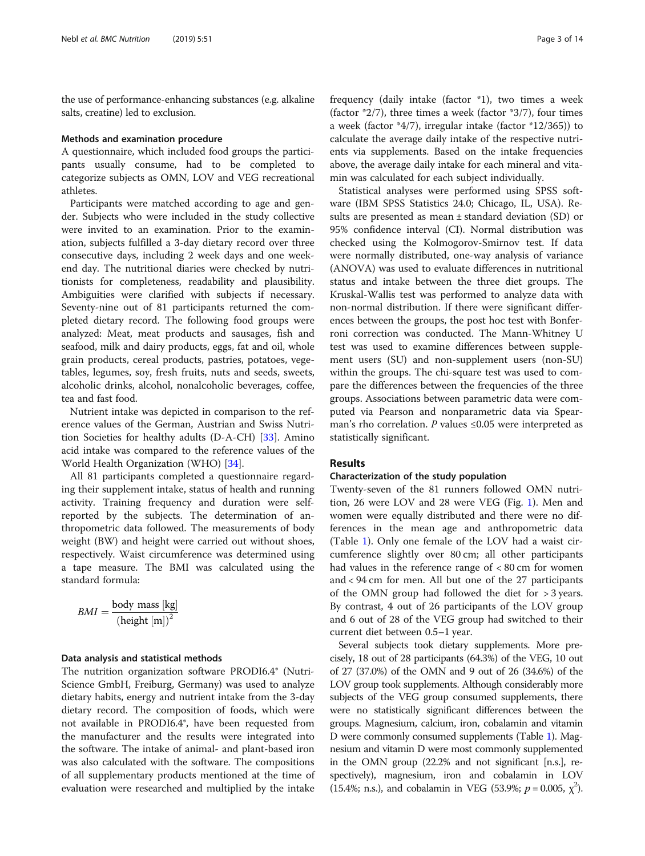the use of performance-enhancing substances (e.g. alkaline salts, creatine) led to exclusion.

#### Methods and examination procedure

A questionnaire, which included food groups the participants usually consume, had to be completed to categorize subjects as OMN, LOV and VEG recreational athletes.

Participants were matched according to age and gender. Subjects who were included in the study collective were invited to an examination. Prior to the examination, subjects fulfilled a 3-day dietary record over three consecutive days, including 2 week days and one weekend day. The nutritional diaries were checked by nutritionists for completeness, readability and plausibility. Ambiguities were clarified with subjects if necessary. Seventy-nine out of 81 participants returned the completed dietary record. The following food groups were analyzed: Meat, meat products and sausages, fish and seafood, milk and dairy products, eggs, fat and oil, whole grain products, cereal products, pastries, potatoes, vegetables, legumes, soy, fresh fruits, nuts and seeds, sweets, alcoholic drinks, alcohol, nonalcoholic beverages, coffee, tea and fast food.

Nutrient intake was depicted in comparison to the reference values of the German, Austrian and Swiss Nutrition Societies for healthy adults (D-A-CH) [\[33\]](#page-12-0). Amino acid intake was compared to the reference values of the World Health Organization (WHO) [\[34](#page-12-0)].

All 81 participants completed a questionnaire regarding their supplement intake, status of health and running activity. Training frequency and duration were selfreported by the subjects. The determination of anthropometric data followed. The measurements of body weight (BW) and height were carried out without shoes, respectively. Waist circumference was determined using a tape measure. The BMI was calculated using the standard formula:

$$
BMI = \frac{\text{body mass [kg]}}{\left(\text{height [m]}\right)^2}
$$

#### Data analysis and statistical methods

The nutrition organization software PRODI6.4® (Nutri-Science GmbH, Freiburg, Germany) was used to analyze dietary habits, energy and nutrient intake from the 3-day dietary record. The composition of foods, which were not available in PRODI6.4®, have been requested from the manufacturer and the results were integrated into the software. The intake of animal- and plant-based iron was also calculated with the software. The compositions of all supplementary products mentioned at the time of evaluation were researched and multiplied by the intake

frequency (daily intake (factor \*1), two times a week (factor  $*2/7$ ), three times a week (factor  $*3/7$ ), four times a week (factor \*4/7), irregular intake (factor \*12/365)) to calculate the average daily intake of the respective nutrients via supplements. Based on the intake frequencies above, the average daily intake for each mineral and vitamin was calculated for each subject individually.

Statistical analyses were performed using SPSS software (IBM SPSS Statistics 24.0; Chicago, IL, USA). Results are presented as mean ± standard deviation (SD) or 95% confidence interval (CI). Normal distribution was checked using the Kolmogorov-Smirnov test. If data were normally distributed, one-way analysis of variance (ANOVA) was used to evaluate differences in nutritional status and intake between the three diet groups. The Kruskal-Wallis test was performed to analyze data with non-normal distribution. If there were significant differences between the groups, the post hoc test with Bonferroni correction was conducted. The Mann-Whitney U test was used to examine differences between supplement users (SU) and non-supplement users (non-SU) within the groups. The chi-square test was used to compare the differences between the frequencies of the three groups. Associations between parametric data were computed via Pearson and nonparametric data via Spearman's rho correlation. P values  $\leq 0.05$  were interpreted as statistically significant.

#### Results

#### Characterization of the study population

Twenty-seven of the 81 runners followed OMN nutrition, 26 were LOV and 28 were VEG (Fig. [1\)](#page-3-0). Men and women were equally distributed and there were no differences in the mean age and anthropometric data (Table [1](#page-4-0)). Only one female of the LOV had a waist circumference slightly over 80 cm; all other participants had values in the reference range of < 80 cm for women and < 94 cm for men. All but one of the 27 participants of the OMN group had followed the diet for > 3 years. By contrast, 4 out of 26 participants of the LOV group and 6 out of 28 of the VEG group had switched to their current diet between 0.5–1 year.

Several subjects took dietary supplements. More precisely, 18 out of 28 participants (64.3%) of the VEG, 10 out of 27 (37.0%) of the OMN and 9 out of 26 (34.6%) of the LOV group took supplements. Although considerably more subjects of the VEG group consumed supplements, there were no statistically significant differences between the groups. Magnesium, calcium, iron, cobalamin and vitamin D were commonly consumed supplements (Table [1](#page-4-0)). Magnesium and vitamin D were most commonly supplemented in the OMN group (22.2% and not significant [n.s.], respectively), magnesium, iron and cobalamin in LOV (15.4%; n.s.), and cobalamin in VEG (53.9%;  $p = 0.005$ ,  $\chi^2$ ).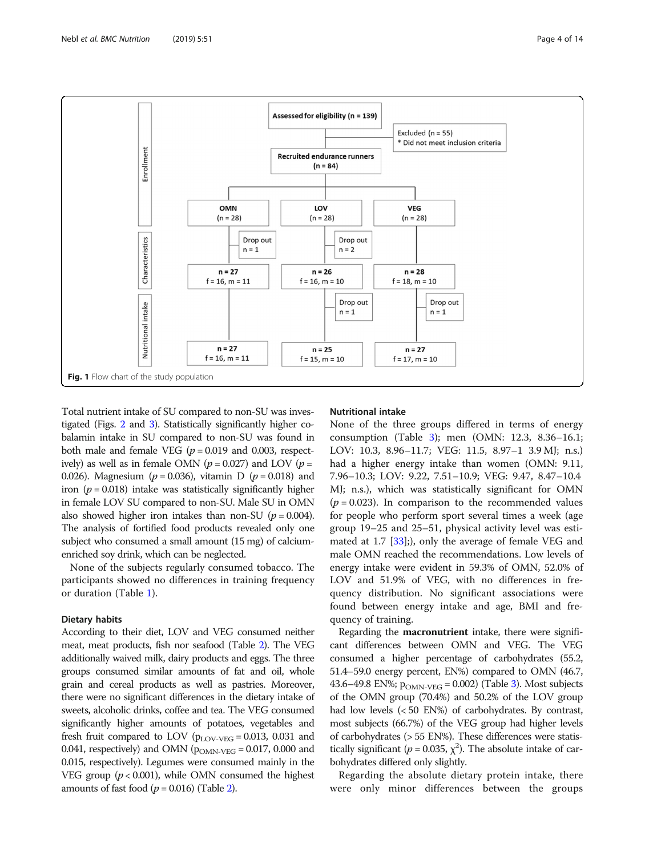<span id="page-3-0"></span>

Total nutrient intake of SU compared to non-SU was investigated (Figs. [2](#page-4-0) and [3\)](#page-5-0). Statistically significantly higher cobalamin intake in SU compared to non-SU was found in both male and female VEG ( $p = 0.019$  and 0.003, respectively) as well as in female OMN ( $p = 0.027$ ) and LOV ( $p =$ 0.026). Magnesium ( $p = 0.036$ ), vitamin D ( $p = 0.018$ ) and iron ( $p = 0.018$ ) intake was statistically significantly higher in female LOV SU compared to non-SU. Male SU in OMN also showed higher iron intakes than non-SU ( $p = 0.004$ ). The analysis of fortified food products revealed only one subject who consumed a small amount (15 mg) of calciumenriched soy drink, which can be neglected.

None of the subjects regularly consumed tobacco. The participants showed no differences in training frequency or duration (Table [1](#page-4-0)).

#### Dietary habits

According to their diet, LOV and VEG consumed neither meat, meat products, fish nor seafood (Table [2\)](#page-5-0). The VEG additionally waived milk, dairy products and eggs. The three groups consumed similar amounts of fat and oil, whole grain and cereal products as well as pastries. Moreover, there were no significant differences in the dietary intake of sweets, alcoholic drinks, coffee and tea. The VEG consumed significantly higher amounts of potatoes, vegetables and fresh fruit compared to LOV ( $p_{\text{LOV-VEG}} = 0.013$ , 0.031 and 0.041, respectively) and OMN ( $p_{OMN\text{-}VEG} = 0.017$ , 0.000 and 0.015, respectively). Legumes were consumed mainly in the VEG group ( $p < 0.001$ ), while OMN consumed the highest amounts of fast food  $(p = 0.016)$  (Table [2](#page-5-0)).

#### Nutritional intake

None of the three groups differed in terms of energy consumption (Table [3](#page-6-0)); men (OMN: 12.3, 8.36–16.1; LOV: 10.3, 8.96–11.7; VEG: 11.5, 8.97–1 3.9 MJ; n.s.) had a higher energy intake than women (OMN: 9.11, 7.96–10.3; LOV: 9.22, 7.51–10.9; VEG: 9.47, 8.47–10.4 MJ; n.s.), which was statistically significant for OMN  $(p = 0.023)$ . In comparison to the recommended values for people who perform sport several times a week (age group 19–25 and 25–51, physical activity level was estimated at 1.7 [\[33](#page-12-0)];), only the average of female VEG and male OMN reached the recommendations. Low levels of energy intake were evident in 59.3% of OMN, 52.0% of LOV and 51.9% of VEG, with no differences in frequency distribution. No significant associations were found between energy intake and age, BMI and frequency of training.

Regarding the macronutrient intake, there were significant differences between OMN and VEG. The VEG consumed a higher percentage of carbohydrates (55.2, 51.4–59.0 energy percent, EN%) compared to OMN (46.7, 43.6–49.8 EN%;  $p_{OMN\text{-}VEG} = 0.002$ ) (Table [3\)](#page-6-0). Most subjects of the OMN group (70.4%) and 50.2% of the LOV group had low levels (< 50 EN%) of carbohydrates. By contrast, most subjects (66.7%) of the VEG group had higher levels of carbohydrates (> 55 EN%). These differences were statistically significant ( $p = 0.035$ ,  $\chi^2$ ). The absolute intake of carbohydrates differed only slightly.

Regarding the absolute dietary protein intake, there were only minor differences between the groups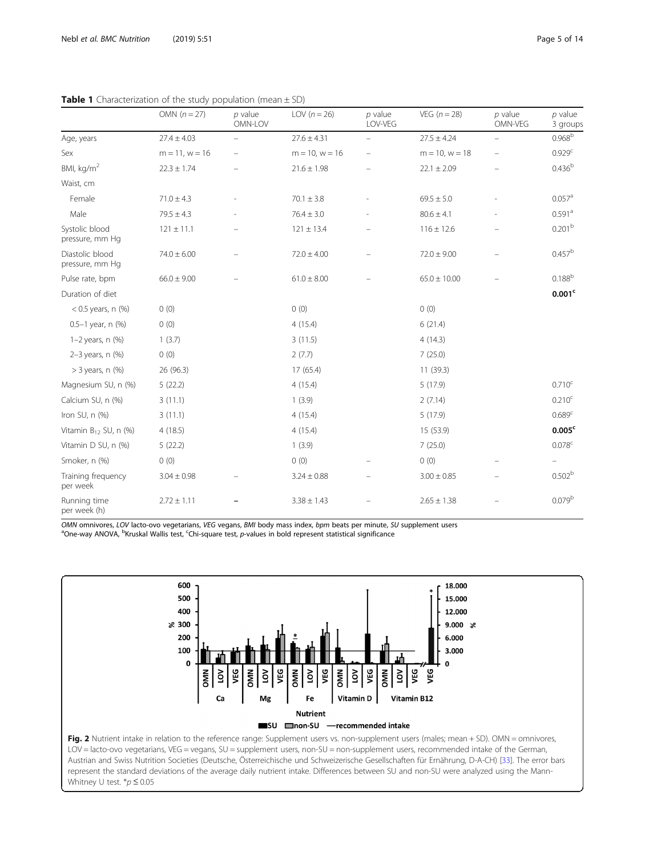|                                    | OMN $(n = 27)$      | $p$ value<br>OMN-LOV     | LOV $(n=26)$        | $p$ value<br>LOV-VEG | $VEG (n = 28)$      | $p$ value<br>OMN-VEG     | $p$ value<br>3 groups |
|------------------------------------|---------------------|--------------------------|---------------------|----------------------|---------------------|--------------------------|-----------------------|
| Age, years                         | $27.4 \pm 4.03$     | $\overline{\phantom{0}}$ | $27.6 \pm 4.31$     | $\qquad \qquad -$    | $27.5 \pm 4.24$     | $\overline{\phantom{0}}$ | 0.968 <sup>b</sup>    |
| Sex                                | $m = 11$ , $w = 16$ |                          | $m = 10$ , $w = 16$ |                      | $m = 10$ , $w = 18$ |                          | 0.929 <sup>c</sup>    |
| BMI, kg/m <sup>2</sup>             | $22.3 \pm 1.74$     |                          | $21.6 \pm 1.98$     |                      | $22.1 \pm 2.09$     |                          | 0.436 <sup>b</sup>    |
| Waist, cm                          |                     |                          |                     |                      |                     |                          |                       |
| Female                             | $71.0 \pm 4.3$      |                          | $70.1 \pm 3.8$      |                      | $69.5 \pm 5.0$      |                          | $0.057$ <sup>a</sup>  |
| Male                               | $79.5 \pm 4.3$      |                          | $76.4 \pm 3.0$      |                      | $80.6 \pm 4.1$      |                          | 0.591 <sup>a</sup>    |
| Systolic blood<br>pressure, mm Hq  | $121 \pm 11.1$      |                          | $121 \pm 13.4$      |                      | $116 \pm 12.6$      |                          | 0.201 <sup>b</sup>    |
| Diastolic blood<br>pressure, mm Hg | $74.0 \pm 6.00$     |                          | $72.0 \pm 4.00$     |                      | $72.0 \pm 9.00$     |                          | $0.457^{\rm b}$       |
| Pulse rate, bpm                    | $66.0 \pm 9.00$     |                          | $61.0 \pm 8.00$     |                      | $65.0 \pm 10.00$    |                          | $0.188^{b}$           |
| Duration of diet                   |                     |                          |                     |                      |                     |                          | 0.001 <sup>c</sup>    |
| $< 0.5$ years, n $(\%)$            | 0(0)                |                          | 0(0)                |                      | 0(0)                |                          |                       |
| $0.5 - 1$ year, n $(\%)$           | 0(0)                |                          | 4(15.4)             |                      | 6(21.4)             |                          |                       |
| $1-2$ years, n $(\%)$              | 1(3.7)              |                          | 3(11.5)             |                      | 4(14.3)             |                          |                       |
| $2-3$ years, n $(\%)$              | 0(0)                |                          | 2(7.7)              |                      | 7(25.0)             |                          |                       |
| $>$ 3 years, n $(\%)$              | 26 (96.3)           |                          | 17 (65.4)           |                      | 11(39.3)            |                          |                       |
| Magnesium SU, n (%)                | 5(22.2)             |                          | 4(15.4)             |                      | 5(17.9)             |                          | $0.710^{\circ}$       |
| Calcium SU, n (%)                  | 3(11.1)             |                          | 1(3.9)              |                      | 2(7.14)             |                          | 0.210 <sup>c</sup>    |
| Iron SU, n (%)                     | 3(11.1)             |                          | 4(15.4)             |                      | 5(17.9)             |                          | 0.689 <sup>c</sup>    |
| Vitamin $B_{12}$ SU, n $(%)$       | 4(18.5)             |                          | 4(15.4)             |                      | 15 (53.9)           |                          | 0.005 <sup>c</sup>    |
| Vitamin D SU, n (%)                | 5(22.2)             |                          | 1(3.9)              |                      | 7(25.0)             |                          | 0.078 <sup>c</sup>    |
| Smoker, n (%)                      | (0)                 |                          | 0(0)                |                      | 0(0)                |                          |                       |
| Training frequency<br>per week     | $3.04 \pm 0.98$     |                          | $3.24 \pm 0.88$     |                      | $3.00 \pm 0.85$     |                          | 0.502 <sup>b</sup>    |
| Running time<br>per week (h)       | $2.72 \pm 1.11$     |                          | $3.38 \pm 1.43$     |                      | $2.65 \pm 1.38$     |                          | 0.079 <sup>b</sup>    |

<span id="page-4-0"></span>**Table 1** Characterization of the study population (mean  $+$  SD)

OMN omnivores, LOV lacto-ovo vegetarians, VEG vegans, BMI body mass index, bpm beats per minute, SU supplement users One-way ANOVA, <sup>b</sup>Kruskal Wallis test, <sup>c</sup>Chi-square test, p-values in bold represent statistical significance

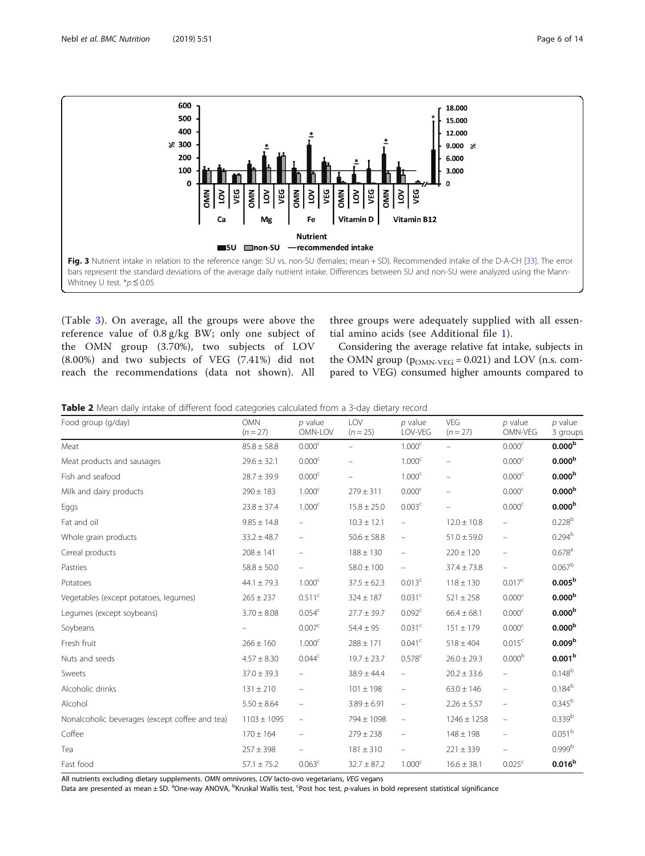<span id="page-5-0"></span>

(Table [3](#page-6-0)). On average, all the groups were above the reference value of 0.8 g/kg BW; only one subject of the OMN group (3.70%), two subjects of LOV (8.00%) and two subjects of VEG (7.41%) did not reach the recommendations (data not shown). All three groups were adequately supplied with all essential amino acids (see Additional file [1](#page-11-0)).

Considering the average relative fat intake, subjects in the OMN group ( $p_{OMN\text{-}VEG} = 0.021$ ) and LOV (n.s. compared to VEG) consumed higher amounts compared to

Table 2 Mean daily intake of different food categories calculated from a 3-day dietary record

| Food group (g/day)                             | <b>OMN</b><br>$(n = 27)$ | $p$ value<br>OMN-LOV | LOV<br>$(n = 25)$ | $p$ value<br>LOV-VEG     | VEG<br>$(n = 27)$ | $p$ value<br>OMN-VEG           | $p$ value<br>3 groups |  |
|------------------------------------------------|--------------------------|----------------------|-------------------|--------------------------|-------------------|--------------------------------|-----------------------|--|
| Meat                                           | $85.8 \pm 58.8$          | $0.000^{\rm c}$      |                   | $1.000^c$                |                   | $0.000^{\rm c}$                | 0.000 <sup>b</sup>    |  |
| Meat products and sausages                     | $29.6 \pm 32.1$          | 0.000 <sup>c</sup>   |                   | 1.000 <sup>c</sup>       |                   | 0.000 <sup>c</sup>             | 0.000 <sup>b</sup>    |  |
| Fish and seafood                               | $28.7 \pm 39.9$          | 0.000 <sup>c</sup>   |                   | 1.000 <sup>c</sup>       |                   | 0.000 <sup>c</sup>             | 0.000 <sup>b</sup>    |  |
| Milk and dairy products                        | $290 \pm 183$            | 1.000 <sup>c</sup>   | $279 \pm 311$     | 0.000 <sup>c</sup>       | $\equiv$          | 0.000 <sup>c</sup>             | 0.000 <sup>b</sup>    |  |
| Eggs                                           | $23.8 \pm 37.4$          | 1.000 <sup>c</sup>   | $15.8 \pm 25.0$   | 0.003 <sup>c</sup>       |                   | 0.000 <sup>c</sup>             | 0.000 <sup>b</sup>    |  |
| Fat and oil                                    | $9.85 \pm 14.8$          | $\qquad \qquad -$    | $10.3 \pm 12.1$   | $\qquad \qquad -$        | $12.0 \pm 10.8$   |                                | 0.228 <sup>b</sup>    |  |
| Whole grain products                           | $33.2 \pm 48.7$          | $\qquad \qquad -$    | $50.6 \pm 58.8$   | $\overline{\phantom{0}}$ | $51.0 \pm 59.0$   |                                | 0.294 <sup>b</sup>    |  |
| Cereal products                                | $208 \pm 141$            | -                    | $188 \pm 130$     | -                        | $220 \pm 120$     |                                | $0.678$ <sup>a</sup>  |  |
| Pastries                                       | $58.8 \pm 50.0$          | $\qquad \qquad -$    | $58.0 \pm 100$    | $\overline{\phantom{0}}$ | $37.4 \pm 73.8$   | $\qquad \qquad -$              | $0.067^{\rm b}$       |  |
| Potatoes                                       | $44.1 \pm 79.3$          | 1.000 <sup>c</sup>   | $37.5 \pm 62.3$   | 0.013 <sup>c</sup>       | $118 \pm 130$     | 0.017c                         | 0.005 <sup>b</sup>    |  |
| Vegetables (except potatoes, legumes)          | $265 \pm 237$            | 0.511 <sup>c</sup>   | $324 \pm 187$     | 0.031 <sup>c</sup>       | $521 \pm 258$     | 0.000 <sup>c</sup>             | 0.000 <sup>b</sup>    |  |
| Legumes (except soybeans)                      | $3.70 \pm 8.08$          | 0.054 <sup>c</sup>   | $27.7 \pm 39.7$   | 0.092 <sup>c</sup>       | $66.4 \pm 68.1$   | 0.000 <sup>c</sup>             | 0.000 <sup>b</sup>    |  |
| Soybeans                                       |                          | 0.007 <sup>c</sup>   | $54.4 \pm 95$     | 0.031 <sup>c</sup>       | $151 \pm 179$     | 0.000 <sup>c</sup>             | 0.000 <sup>b</sup>    |  |
| Fresh fruit                                    | $266 \pm 160$            | 1.000 <sup>c</sup>   | $288 \pm 171$     | 0.041 <sup>c</sup>       | $518 \pm 404$     | 0.015 <sup>c</sup>             | 0.009 <sup>b</sup>    |  |
| Nuts and seeds                                 | $4.57 \pm 8.30$          | $0.044^c$            | $19.7 \pm 23.7$   | $0.578^{c}$              | $26.0 \pm 29.3$   | 0.000 <sup>b</sup>             | 0.001 <sup>b</sup>    |  |
| Sweets                                         | $37.0 \pm 39.3$          | $\equiv$             | $38.9 \pm 44.4$   | $\overline{\phantom{0}}$ | $20.2 \pm 33.6$   |                                | $0.148^{b}$           |  |
| Alcoholic drinks                               | $131 \pm 210$            | $\equiv$             | $101 \pm 198$     | $\overline{\phantom{0}}$ | $63.0 \pm 146$    | $\qquad \qquad -$              | $0.184^{b}$           |  |
| Alcohol                                        | $5.50 \pm 8.64$          | $\qquad \qquad -$    | $3.89 \pm 6.91$   | $\qquad \qquad -$        | $2.26 \pm 5.57$   | $\qquad \qquad \longleftarrow$ | $0.345^{b}$           |  |
| Nonalcoholic beverages (except coffee and tea) | $1103 \pm 1095$          | $\equiv$             | 794 ± 1098        | $\overline{\phantom{0}}$ | $1246 \pm 1258$   | $\equiv$                       | 0.339 <sup>b</sup>    |  |
| Coffee                                         | $170 \pm 164$            | $\equiv$             | $279 \pm 238$     | $\qquad \qquad -$        | $148 \pm 198$     |                                | 0.051 <sup>b</sup>    |  |
| Tea                                            | $257 \pm 398$            | $\qquad \qquad -$    | $181 \pm 310$     | $\qquad \qquad -$        | $221 \pm 339$     |                                | 0.999 <sup>b</sup>    |  |
| Fast food                                      | $57.1 \pm 75.2$          | 0.063 <sup>c</sup>   | $32.7 \pm 87.2$   | 1.000 <sup>c</sup>       | $16.6 \pm 38.1$   | 0.025 <sup>c</sup>             | 0.016 <sup>b</sup>    |  |

All nutrients excluding dietary supplements. OMN omnivores, LOV lacto-ovo vegetarians, VEG vegans

Data are presented as mean ± SD. <sup>a</sup>One-way ANOVA, <sup>b</sup>Kruskal Wallis test, <sup>c</sup>Post hoc test, p-values in bold represent statistical significance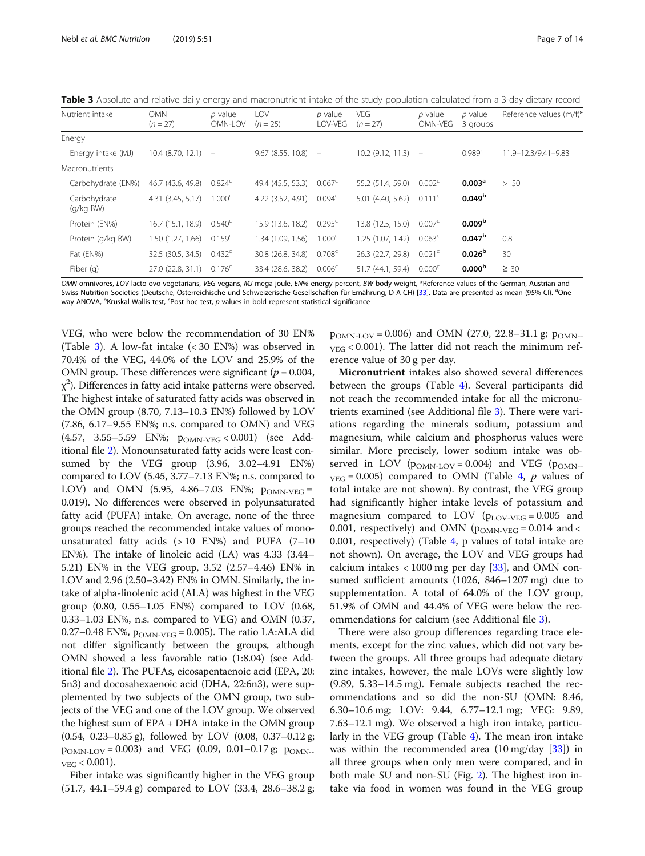<span id="page-6-0"></span>Table 3 Absolute and relative daily energy and macronutrient intake of the study population calculated from a 3-day dietary record

| Nutrient intake             | <b>OMN</b><br>$(n = 27)$ | p value<br>OMN-LOV | LOV<br>$(n = 25)$ | $p$ value<br>LOV-VEG     | <b>VEG</b><br>$(n = 27)$ | p value<br>OMN-VEG   | p value<br>3 groups | Reference values (m/f)* |
|-----------------------------|--------------------------|--------------------|-------------------|--------------------------|--------------------------|----------------------|---------------------|-------------------------|
| Energy                      |                          |                    |                   |                          |                          |                      |                     |                         |
| Energy intake (MJ)          | $10.4$ (8.70, 12.1) $-$  |                    | 9.67 (8.55, 10.8) | $\overline{\phantom{m}}$ | $10.2$ (9.12, 11.3) $-$  |                      | $0.989^{b}$         | 11.9-12.3/9.41-9.83     |
| <b>Macronutrients</b>       |                          |                    |                   |                          |                          |                      |                     |                         |
| Carbohydrate (EN%)          | 46.7 (43.6, 49.8)        | $0.824^{\circ}$    | 49.4 (45.5, 53.3) | $0.067^{\circ}$          | 55.2 (51.4, 59.0)        | 0.002 <sup>c</sup>   | 0.003 <sup>a</sup>  | > 50                    |
| Carbohydrate<br>$(q/kg$ BW) | 4.31(3.45, 5.17)         | 1.000 <sup>c</sup> | 4.22 (3.52, 4.91) | 0.094 <sup>c</sup>       | 5.01 (4.40, 5.62)        | $0.111$ <sup>c</sup> | 0.049 <sup>b</sup>  |                         |
| Protein (EN%)               | 16.7 (15.1, 18.9)        | 0.540 <sup>c</sup> | 15.9 (13.6, 18.2) | 0.295 <sup>c</sup>       | 13.8 (12.5, 15.0)        | 0.007 <sup>c</sup>   | 0.009 <sup>b</sup>  |                         |
| Protein (g/kg BW)           | 1.50(1.27, 1.66)         | 0.159 <sup>c</sup> | 1.34 (1.09, 1.56) | 1.000 <sup>c</sup>       | 1.25(1.07, 1.42)         | $0.063^{\circ}$      | 0.047 <sup>b</sup>  | 0.8                     |
| Fat (EN%)                   | 32.5 (30.5, 34.5)        | $0.432^{\circ}$    | 30.8 (26.8, 34.8) | 0.708 <sup>c</sup>       | 26.3 (22.7, 29.8)        | 0.021 <sup>c</sup>   | 0.026 <sup>b</sup>  | 30                      |
| Fiber (g)                   | 27.0 (22.8, 31.1)        | $0.176^{\circ}$    | 33.4 (28.6, 38.2) | 0.006 <sup>c</sup>       | 51.7 (44.1, 59.4)        | 0.000 <sup>c</sup>   | 0.000 <sup>b</sup>  | $\geq 30$               |

OMN omnivores, LOV lacto-ovo vegetarians, VEG vegans, MJ mega joule, EN% energy percent, BW body weight, \*Reference values of the German, Austrian and Swiss Nutrition Societies (Deutsche, Österreichische und Schweizerische Gesellschaften für Ernährung, D-A-CH) [[33](#page-12-0)]. Data are presented as mean (95% CI). <sup>a</sup>Oneway ANOVA, <sup>b</sup>Kruskal Wallis test, <sup>c</sup>Post hoc test, *p*-values in bold represent statistical significance

VEG, who were below the recommendation of 30 EN% (Table 3). A low-fat intake (< 30 EN%) was observed in 70.4% of the VEG, 44.0% of the LOV and 25.9% of the OMN group. These differences were significant ( $p = 0.004$ ,  $\chi^2$ ). Differences in fatty acid intake patterns were observed. The highest intake of saturated fatty acids was observed in the OMN group (8.70, 7.13–10.3 EN%) followed by LOV (7.86, 6.17–9.55 EN%; n.s. compared to OMN) and VEG  $(4.57, 3.55-5.59$  EN%;  $p_{OMN-VEG} < 0.001$ ) (see Additional file [2](#page-11-0)). Monounsaturated fatty acids were least consumed by the VEG group (3.96, 3.02–4.91 EN%) compared to LOV (5.45, 3.77–7.13 EN%; n.s. compared to LOV) and OMN (5.95, 4.86–7.03 EN%;  $p_{OMN-VEG}$  = 0.019). No differences were observed in polyunsaturated fatty acid (PUFA) intake. On average, none of the three groups reached the recommended intake values of monounsaturated fatty acids  $(>10$  EN%) and PUFA  $(7-10)$ EN%). The intake of linoleic acid (LA) was 4.33 (3.44– 5.21) EN% in the VEG group, 3.52 (2.57–4.46) EN% in LOV and 2.96 (2.50–3.42) EN% in OMN. Similarly, the intake of alpha-linolenic acid (ALA) was highest in the VEG group (0.80, 0.55–1.05 EN%) compared to LOV (0.68, 0.33–1.03 EN%, n.s. compared to VEG) and OMN (0.37, 0.27–0.48 EN%,  $p_{OMN\text{-}VEG} = 0.005$ ). The ratio LA:ALA did not differ significantly between the groups, although OMN showed a less favorable ratio (1:8.04) (see Additional file [2](#page-11-0)). The PUFAs, eicosapentaenoic acid (EPA, 20: 5n3) and docosahexaenoic acid (DHA, 22:6n3), were supplemented by two subjects of the OMN group, two subjects of the VEG and one of the LOV group. We observed the highest sum of EPA + DHA intake in the OMN group (0.54, 0.23–0.85 g), followed by LOV (0.08, 0.37–0.12 g;  $p_{OMN\text{-}LOV} = 0.003$ ) and VEG (0.09, 0.01–0.17 g;  $p_{OMN\text{-}}$  $_{VEG}$  < 0.001).

Fiber intake was significantly higher in the VEG group (51.7, 44.1–59.4 g) compared to LOV (33.4, 28.6–38.2 g;  $p_{OMN-LOV} = 0.006$ ) and OMN (27.0, 22.8–31.1 g;  $p_{OMN-}$  $_{VEG}$  < 0.001). The latter did not reach the minimum reference value of 30 g per day.

Micronutrient intakes also showed several differences between the groups (Table [4](#page-7-0)). Several participants did not reach the recommended intake for all the micronutrients examined (see Additional file [3\)](#page-11-0). There were variations regarding the minerals sodium, potassium and magnesium, while calcium and phosphorus values were similar. More precisely, lower sodium intake was observed in LOV ( $p_{OMN\text{-}LOV} = 0.004$ ) and VEG ( $p_{OMN\text{-}}$  $_{VEG}$  = 0.005) compared to OMN (Table [4](#page-7-0), p values of total intake are not shown). By contrast, the VEG group had significantly higher intake levels of potassium and magnesium compared to LOV ( $p_{\text{LOV-VEG}} = 0.005$  and 0.001, respectively) and OMN ( $p_{OMN\text{-}VEG} = 0.014$  and < 0.001, respectively) (Table [4](#page-7-0), p values of total intake are not shown). On average, the LOV and VEG groups had calcium intakes  $< 1000$  mg per day [\[33\]](#page-12-0), and OMN consumed sufficient amounts (1026, 846–1207 mg) due to supplementation. A total of 64.0% of the LOV group, 51.9% of OMN and 44.4% of VEG were below the recommendations for calcium (see Additional file [3\)](#page-11-0).

There were also group differences regarding trace elements, except for the zinc values, which did not vary between the groups. All three groups had adequate dietary zinc intakes, however, the male LOVs were slightly low (9.89, 5.33–14.5 mg). Female subjects reached the recommendations and so did the non-SU (OMN: 8.46, 6.30–10.6 mg; LOV: 9.44, 6.77–12.1 mg; VEG: 9.89, 7.63–12.1 mg). We observed a high iron intake, particularly in the VEG group (Table [4\)](#page-7-0). The mean iron intake was within the recommended area  $(10 \text{ mg/day } [33])$  $(10 \text{ mg/day } [33])$  $(10 \text{ mg/day } [33])$  in all three groups when only men were compared, and in both male SU and non-SU (Fig. [2](#page-4-0)). The highest iron intake via food in women was found in the VEG group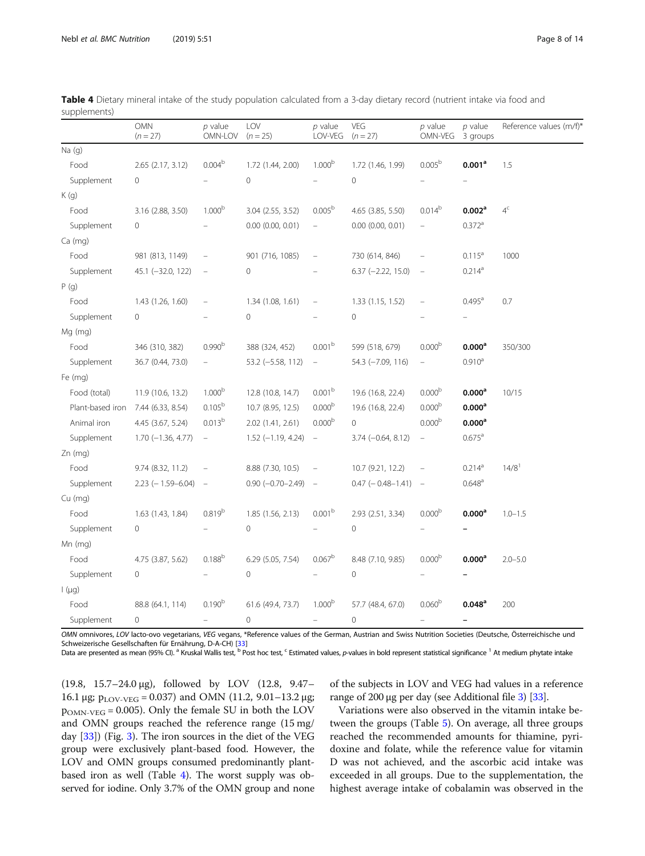| <b>OMN</b><br>$(n = 27)$ |                       | $p$ value<br>OMN-LOV     | LOV<br>$(n = 25)$     | $p$ value<br>VEG<br>LOV-VEG<br>$(n = 27)$ |                           | $p$ value<br>OMN-VEG     | $p$ value<br>3 groups | Reference values (m/f)* |  |
|--------------------------|-----------------------|--------------------------|-----------------------|-------------------------------------------|---------------------------|--------------------------|-----------------------|-------------------------|--|
| $Na$ (g)                 |                       |                          |                       |                                           |                           |                          |                       |                         |  |
| Food                     | $2.65$ $(2.17, 3.12)$ | 0.004 <sup>b</sup>       | 1.72 (1.44, 2.00)     | 1.000 <sup>b</sup>                        | 1.72 (1.46, 1.99)         | 0.005 <sup>b</sup>       | 0.001 <sup>a</sup>    | 1.5                     |  |
| Supplement               | 0                     |                          | $\mathbf 0$           |                                           | 0                         |                          |                       |                         |  |
| K(g)                     |                       |                          |                       |                                           |                           |                          |                       |                         |  |
| Food                     | 3.16 (2.88, 3.50)     | 1.000 <sup>b</sup>       | 3.04 (2.55, 3.52)     | 0.005 <sup>b</sup>                        | 4.65 (3.85, 5.50)         | $0.014^{b}$              | 0.002 <sup>a</sup>    | $4^{\circ}$             |  |
| Supplement               | 0                     |                          | $0.00$ $(0.00, 0.01)$ | $\equiv$                                  | $0.00$ $(0.00, 0.01)$     |                          | $0.372$ <sup>a</sup>  |                         |  |
| $Ca$ (mg)                |                       |                          |                       |                                           |                           |                          |                       |                         |  |
| Food                     | 981 (813, 1149)       |                          | 901 (716, 1085)       | $\equiv$                                  | 730 (614, 846)            |                          | $0.115^a$             | 1000                    |  |
| Supplement               | 45.1 (-32.0, 122)     | $\equiv$                 | 0                     |                                           | $6.37 (-2.22, 15.0)$      | $\overline{\phantom{a}}$ | $0.214^a$             |                         |  |
| P(g)                     |                       |                          |                       |                                           |                           |                          |                       |                         |  |
| Food                     | 1.43 (1.26, 1.60)     | $\overline{\phantom{m}}$ | 1.34(1.08, 1.61)      | $\equiv$                                  | 1.33(1.15, 1.52)          | $\qquad \qquad -$        | $0.495^{\text{a}}$    | 0.7                     |  |
| Supplement               | 0                     |                          | $\circ$               |                                           | 0                         |                          |                       |                         |  |
| Mg (mg)                  |                       |                          |                       |                                           |                           |                          |                       |                         |  |
| Food                     | 346 (310, 382)        | 0.990 <sup>b</sup>       | 388 (324, 452)        | 0.001 <sup>b</sup>                        | 599 (518, 679)            | $0.000^{\rm b}$          | 0.000 <sup>a</sup>    | 350/300                 |  |
| Supplement               | 36.7 (0.44, 73.0)     |                          | 53.2 (-5.58, 112)     | $\equiv$                                  | 54.3 (-7.09, 116)         | ÷,                       | 0.910 <sup>a</sup>    |                         |  |
| Fe (mg)                  |                       |                          |                       |                                           |                           |                          |                       |                         |  |
| Food (total)             | 11.9 (10.6, 13.2)     | 1.000 <sup>b</sup>       | 12.8 (10.8, 14.7)     | 0.001 <sup>b</sup>                        | 19.6 (16.8, 22.4)         | 0.000 <sup>b</sup>       | $0.000^a$             | 10/15                   |  |
| Plant-based iron         | 7.44 (6.33, 8.54)     | $0.105^{b}$              | 10.7 (8.95, 12.5)     | 0.000 <sup>b</sup>                        | 19.6 (16.8, 22.4)         | 0.000 <sup>b</sup>       | 0.000 <sup>a</sup>    |                         |  |
| Animal iron              | 4.45 (3.67, 5.24)     | 0.013 <sup>b</sup>       | 2.02 (1.41, 2.61)     | 0.000 <sup>b</sup>                        | $\overline{0}$            | 0.000 <sup>b</sup>       | 0.000 <sup>a</sup>    |                         |  |
| Supplement               | $1.70 (-1.36, 4.77)$  | $\equiv$                 | $1.52$ (-1.19, 4.24)  | $\equiv$                                  | $3.74 (-0.64, 8.12)$      | $\equiv$                 | $0.675^{\text{a}}$    |                         |  |
| $Zn$ (mg)                |                       |                          |                       |                                           |                           |                          |                       |                         |  |
| Food                     | 9.74 (8.32, 11.2)     |                          | 8.88 (7.30, 10.5)     | $\equiv$                                  | 10.7 (9.21, 12.2)         | $\equiv$                 | 0.214 <sup>a</sup>    | $14/8$ <sup>1</sup>     |  |
| Supplement               | $2.23$ (-1.59-6.04)   | $\overline{\phantom{a}}$ | $0.90 (-0.70 - 2.49)$ | $\overline{\phantom{a}}$                  | $0.47$ ( $-0.48 - 1.41$ ) | $\sim$                   | 0.648 <sup>a</sup>    |                         |  |
| Cu (mg)                  |                       |                          |                       |                                           |                           |                          |                       |                         |  |
| Food                     | 1.63 (1.43, 1.84)     | 0.819 <sup>b</sup>       | 1.85 (1.56, 2.13)     | 0.001 <sup>b</sup>                        | 2.93 (2.51, 3.34)         | 0.000 <sup>b</sup>       | 0.000 <sup>a</sup>    | $1.0 - 1.5$             |  |
| Supplement               | 0                     |                          | $\overline{0}$        |                                           | 0                         |                          |                       |                         |  |
| $Mn$ (mg)                |                       |                          |                       |                                           |                           |                          |                       |                         |  |
| Food                     | 4.75 (3.87, 5.62)     | $0.188^{b}$              | 6.29 (5.05, 7.54)     | 0.067 <sup>b</sup>                        | 8.48 (7.10, 9.85)         | 0.000 <sup>b</sup>       | 0.000 <sup>a</sup>    | $2.0 - 5.0$             |  |
| Supplement               | 0                     |                          | 0                     |                                           | 0                         |                          |                       |                         |  |
| $\frac{1}{2}$ (µg)       |                       |                          |                       |                                           |                           |                          |                       |                         |  |
| Food                     | 88.8 (64.1, 114)      | 0.190 <sup>b</sup>       | 61.6 (49.4, 73.7)     | 1.000 <sup>b</sup>                        | 57.7 (48.4, 67.0)         | 0.060 <sup>b</sup>       | $0.048$ <sup>a</sup>  | 200                     |  |
| Supplement               | 0                     | $\overline{\phantom{0}}$ | 0                     | -                                         | 0                         | $\equiv$                 |                       |                         |  |

<span id="page-7-0"></span>

| Table 4 Dietary mineral intake of the study population calculated from a 3-day dietary record (nutrient intake via food and |  |  |  |  |  |  |
|-----------------------------------------------------------------------------------------------------------------------------|--|--|--|--|--|--|
| supplements)                                                                                                                |  |  |  |  |  |  |

OMN omnivores, LOV lacto-ovo vegetarians, VEG vegans, \*Reference values of the German, Austrian and Swiss Nutrition Societies (Deutsche, Österreichische und Schweizerische Gesellschaften für Ernährung, D-A-CH) [[33\]](#page-12-0)

Data are presented as mean (95% CI). <sup>a</sup> Kruskal Wallis test, <sup>b</sup> Post hoc test, <sup>c</sup> Estimated values, p-values in bold represent statistical significance <sup>1</sup> At medium phytate intake

(19.8, 15.7–24.0 μg), followed by LOV (12.8, 9.47– 16.1 μg;  $p_{\text{LOV-VEG}} = 0.037$ ) and OMN (11.2, 9.01-13.2 μg;  $p_{OMN-VEG} = 0.005$ ). Only the female SU in both the LOV and OMN groups reached the reference range (15 mg/ day [[33\]](#page-12-0)) (Fig. [3](#page-5-0)). The iron sources in the diet of the VEG group were exclusively plant-based food. However, the LOV and OMN groups consumed predominantly plantbased iron as well (Table 4). The worst supply was observed for iodine. Only 3.7% of the OMN group and none

of the subjects in LOV and VEG had values in a reference range of 200 μg per day (see Additional file [3](#page-11-0)) [\[33\]](#page-12-0).

Variations were also observed in the vitamin intake between the groups (Table [5](#page-8-0)). On average, all three groups reached the recommended amounts for thiamine, pyridoxine and folate, while the reference value for vitamin D was not achieved, and the ascorbic acid intake was exceeded in all groups. Due to the supplementation, the highest average intake of cobalamin was observed in the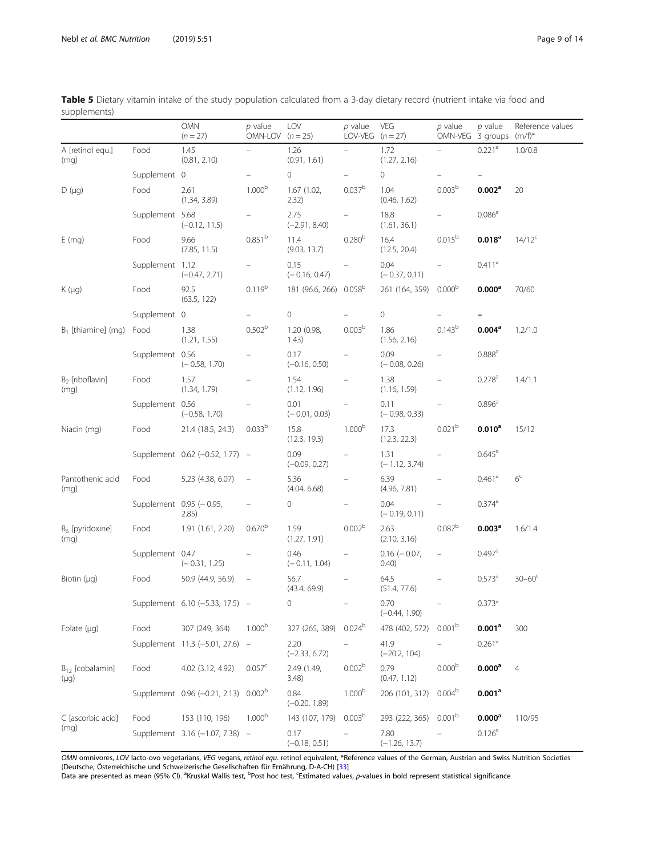|                                   |                 | OMN<br>$(n = 27)$                                | $p$ value<br>OMN-LOV $(n = 25)$ | LOV                                | $p$ value<br>LOV-VEG $(n = 27)$ | VEG                         | $p$ value<br>OMN-VEG 3 groups | $p$ value            | Reference values<br>$(m/f)^*$ |
|-----------------------------------|-----------------|--------------------------------------------------|---------------------------------|------------------------------------|---------------------------------|-----------------------------|-------------------------------|----------------------|-------------------------------|
| A [retinol equ.]<br>(mq)          | Food            | 1.45<br>(0.81, 2.10)                             | $\overline{\phantom{0}}$        | 1.26<br>(0.91, 1.61)               | $\equiv$                        | 1.72<br>(1.27, 2.16)        | $ \,$                         | $0.221$ <sup>a</sup> | 1.0/0.8                       |
|                                   | Supplement 0    |                                                  |                                 | $\mathbf{0}$                       |                                 | $\circ$                     |                               |                      |                               |
| $D(\mu g)$                        | Food            | 2.61<br>(1.34, 3.89)                             | 1.000 <sup>b</sup>              | 1.67(1.02,<br>2.32)                | 0.037 <sup>b</sup>              | 1.04<br>(0.46, 1.62)        | 0.003 <sup>b</sup>            | 0.002 <sup>a</sup>   | 20                            |
|                                   | Supplement 5.68 | $(-0.12, 11.5)$                                  | $\equiv$                        | 2.75<br>$(-2.91, 8.40)$            | -                               | 18.8<br>(1.61, 36.1)        | $\overline{\phantom{0}}$      | $0.086^{\rm a}$      |                               |
| $E$ (mg)                          | Food            | 9.66<br>(7.85, 11.5)                             | 0.851 <sup>b</sup>              | 11.4<br>(9.03, 13.7)               | 0.280 <sup>b</sup>              | 16.4<br>(12.5, 20.4)        | 0.015 <sup>b</sup>            | 0.018 <sup>a</sup>   | $14/12^c$                     |
|                                   | Supplement 1.12 | $(-0.47, 2.71)$                                  |                                 | 0.15<br>$(-0.16, 0.47)$            |                                 | 0.04<br>$(-0.37, 0.11)$     |                               | $0.411$ <sup>a</sup> |                               |
| $K(\mu q)$                        | Food            | 92.5<br>(63.5, 122)                              | 0.119 <sup>b</sup>              | 181 (96.6, 266) 0.058 <sup>b</sup> |                                 | 261 (164, 359)              | 0.000 <sup>b</sup>            | 0.000 <sup>a</sup>   | 70/60                         |
|                                   | Supplement 0    |                                                  |                                 | $\circ$                            |                                 | $\circ$                     |                               |                      |                               |
| $B_1$ [thiamine] (mg) Food        |                 | 1.38<br>(1.21, 1.55)                             | 0.502 <sup>b</sup>              | 1.20 (0.98,<br>1.43)               | 0.003 <sup>b</sup>              | 1.86<br>(1.56, 2.16)        | 0.143 <sup>b</sup>            | 0.004 <sup>a</sup>   | 1.2/1.0                       |
|                                   | Supplement 0.56 | $(-0.58, 1.70)$                                  |                                 | 0.17<br>$(-0.16, 0.50)$            |                                 | 0.09<br>$(-0.08, 0.26)$     | $\qquad \qquad =$             | $0.888^{a}$          |                               |
| $B_2$ [riboflavin]<br>(mq)        | Food            | 1.57<br>(1.34, 1.79)                             |                                 | 1.54<br>(1.12, 1.96)               |                                 | 1.38<br>(1.16, 1.59)        |                               | $0.278$ <sup>a</sup> | 1.4/1.1                       |
|                                   | Supplement 0.56 | $(-0.58, 1.70)$                                  |                                 | 0.01<br>$(-0.01, 0.03)$            |                                 | 0.11<br>$(-0.98, 0.33)$     |                               | $0.896^a$            |                               |
| Niacin (mg)                       | Food            | 21.4 (18.5, 24.3)                                | 0.033 <sup>b</sup>              | 15.8<br>(12.3, 19.3)               | 1.000 <sup>b</sup>              | 17.3<br>(12.3, 22.3)        | 0.021 <sup>b</sup>            | $0.010^a$            | 15/12                         |
|                                   |                 | Supplement 0.62 (-0.52, 1.77) -                  |                                 | 0.09<br>$(-0.09, 0.27)$            |                                 | 1.31<br>$(-1.12, 3.74)$     |                               | $0.645^{\text{a}}$   |                               |
| Pantothenic acid<br>(mq)          | Food            | 5.23 (4.38, 6.07)                                |                                 | 5.36<br>(4.04, 6.68)               |                                 | 6.39<br>(4.96, 7.81)        |                               | $0.461$ <sup>a</sup> | $6^{\circ}$                   |
|                                   |                 | Supplement 0.95 (-0.95,<br>2.85)                 |                                 | 0                                  |                                 | 0.04<br>$(-0.19, 0.11)$     |                               | $0.374$ <sup>a</sup> |                               |
| $B_6$ [pyridoxine]<br>(mq)        | Food            | 1.91 (1.61, 2.20)                                | 0.670 <sup>b</sup>              | 1.59<br>(1.27, 1.91)               | 0.002 <sup>b</sup>              | 2.63<br>(2.10, 3.16)        | 0.087 <sup>b</sup>            | 0.003 <sup>a</sup>   | 1.6/1.4                       |
|                                   | Supplement 0.47 | $(-0.31, 1.25)$                                  |                                 | 0.46<br>$(-0.11, 1.04)$            |                                 | $0.16$ ( $-0.07$ ,<br>0.40) | $\equiv$                      | $0.497$ <sup>a</sup> |                               |
| Biotin $(\mu q)$                  | Food            | 50.9 (44.9, 56.9)                                | $\overline{\phantom{0}}$        | 56.7<br>(43.4, 69.9)               | $\equiv$                        | 64.5<br>(51.4, 77.6)        |                               | 0.573 <sup>a</sup>   | $30 - 60^{\circ}$             |
|                                   |                 | Supplement 6.10 (-5.33, 17.5) -                  |                                 | 0                                  |                                 | 0.70<br>$(-0.44, 1.90)$     | $\equiv$                      | $0.373$ <sup>a</sup> |                               |
| Folate $(\mu g)$                  | Food            | 307 (249, 364)                                   | 1.000 <sup>b</sup>              | 327 (265, 389)                     | $0.024^{b}$                     | 478 (402, 572)              | 0.001 <sup>b</sup>            | 0.001 <sup>a</sup>   | 300                           |
|                                   |                 | Supplement 11.3 (-5.01, 27.6)                    | $\equiv$                        | 2.20<br>$(-2.33, 6.72)$            |                                 | 41.9<br>$(-20.2, 104)$      |                               | $0.261$ <sup>a</sup> |                               |
| $B_{12}$ [cobalamin]<br>$(\mu q)$ | Food            | 4.02 (3.12, 4.92)                                | 0.057 <sup>c</sup>              | 2.49 (1.49,<br>3.48)               | 0.002 <sup>b</sup>              | 0.79<br>(0.47, 1.12)        | 0.000 <sup>b</sup>            | 0.000 <sup>a</sup>   | $\overline{4}$                |
|                                   |                 | Supplement 0.96 (-0.21, 2.13) 0.002 <sup>b</sup> |                                 | 0.84<br>$(-0.20, 1.89)$            | 1.000 <sup>b</sup>              | 206 (101, 312)              | 0.004 <sup>b</sup>            | 0.001 <sup>a</sup>   |                               |
| C [ascorbic acid]                 | Food            | 153 (110, 196)                                   | 1.000 <sup>b</sup>              | 143 (107, 179)                     | 0.003 <sup>b</sup>              | 293 (222, 365)              | 0.001 <sup>b</sup>            | 0.000 <sup>a</sup>   | 110/95                        |
| (mq)                              |                 | Supplement 3.16 (-1.07, 7.38)                    |                                 | 0.17<br>$(-0.18, 0.51)$            |                                 | 7.80<br>$(-1.26, 13.7)$     |                               | 0.126 <sup>a</sup>   |                               |

<span id="page-8-0"></span>

| Table 5 Dietary vitamin intake of the study population calculated from a 3-day dietary record (nutrient intake via food and |  |  |  |  |  |  |
|-----------------------------------------------------------------------------------------------------------------------------|--|--|--|--|--|--|
| supplements)                                                                                                                |  |  |  |  |  |  |

OMN omnivores, LOV lacto-ovo vegetarians, VEG vegans, retinol equ. retinol equivalent, \*Reference values of the German, Austrian and Swiss Nutrition Societies (Deutsche, Österreichische und Schweizerische Gesellschaften für Ernährung, D-A-CH) [\[33](#page-12-0)]<br>Data are presented as mean (95% CI). <sup>a</sup>Kruskal Wallis test, <sup>b</sup>Post hoc test, <sup>c</sup>Estimated values, *p*-values in bold represent stat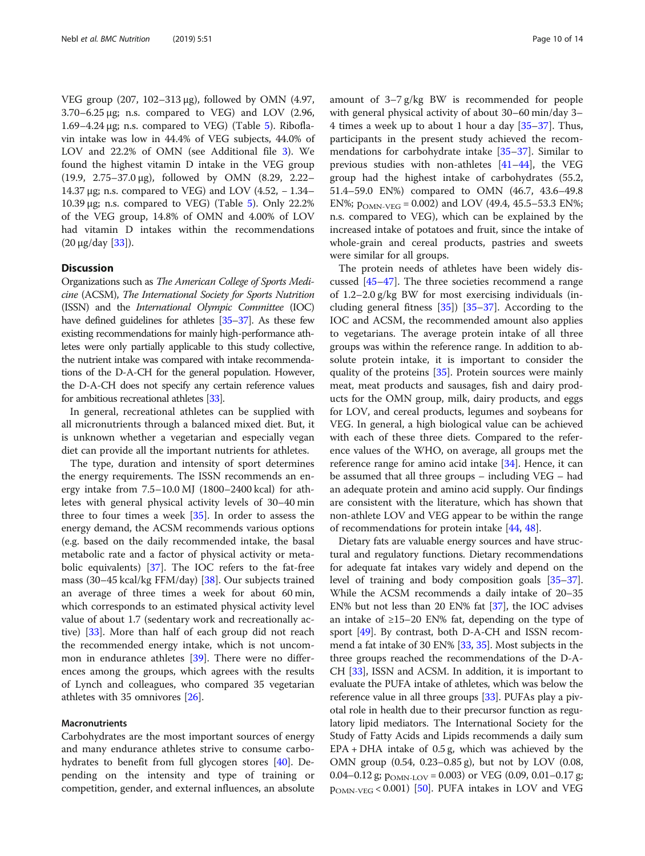VEG group (207, 102–313 μg), followed by OMN (4.97,  $3.70-6.25 \,\mu$ g; n.s. compared to VEG) and LOV (2.96, 1.69–4.24 μg; n.s. compared to VEG) (Table [5](#page-8-0)). Riboflavin intake was low in 44.4% of VEG subjects, 44.0% of LOV and 22.2% of OMN (see Additional file [3\)](#page-11-0). We found the highest vitamin D intake in the VEG group (19.9, 2.75–37.0 μg), followed by OMN (8.29, 2.22– 14.37 μg; n.s. compared to VEG) and LOV  $(4.52, -1.34-$ 10.39 μg; n.s. compared to VEG) (Table [5](#page-8-0)). Only 22.2% of the VEG group, 14.8% of OMN and 4.00% of LOV had vitamin D intakes within the recommendations  $(20 \mu g/day [33]).$  $(20 \mu g/day [33]).$  $(20 \mu g/day [33]).$ 

#### **Discussion**

Organizations such as The American College of Sports Medicine (ACSM), The International Society for Sports Nutrition (ISSN) and the International Olympic Committee (IOC) have defined guidelines for athletes [\[35](#page-12-0)–[37](#page-12-0)]. As these few existing recommendations for mainly high-performance athletes were only partially applicable to this study collective, the nutrient intake was compared with intake recommendations of the D-A-CH for the general population. However, the D-A-CH does not specify any certain reference values for ambitious recreational athletes [\[33\]](#page-12-0).

In general, recreational athletes can be supplied with all micronutrients through a balanced mixed diet. But, it is unknown whether a vegetarian and especially vegan diet can provide all the important nutrients for athletes.

The type, duration and intensity of sport determines the energy requirements. The ISSN recommends an energy intake from 7.5–10.0 MJ (1800–2400 kcal) for athletes with general physical activity levels of 30–40 min three to four times a week [\[35](#page-12-0)]. In order to assess the energy demand, the ACSM recommends various options (e.g. based on the daily recommended intake, the basal metabolic rate and a factor of physical activity or metabolic equivalents) [\[37](#page-12-0)]. The IOC refers to the fat-free mass (30–45 kcal/kg FFM/day) [[38\]](#page-12-0). Our subjects trained an average of three times a week for about 60 min, which corresponds to an estimated physical activity level value of about 1.7 (sedentary work and recreationally active) [[33\]](#page-12-0). More than half of each group did not reach the recommended energy intake, which is not uncommon in endurance athletes [\[39](#page-12-0)]. There were no differences among the groups, which agrees with the results of Lynch and colleagues, who compared 35 vegetarian athletes with 35 omnivores [\[26](#page-12-0)].

#### Macronutrients

Carbohydrates are the most important sources of energy and many endurance athletes strive to consume carbohydrates to benefit from full glycogen stores [[40](#page-13-0)]. Depending on the intensity and type of training or competition, gender, and external influences, an absolute amount of 3–7 g/kg BW is recommended for people with general physical activity of about 30–60 min/day 3– 4 times a week up to about 1 hour a day [\[35](#page-12-0)–[37\]](#page-12-0). Thus, participants in the present study achieved the recommendations for carbohydrate intake [\[35](#page-12-0)–[37\]](#page-12-0). Similar to previous studies with non-athletes [\[41](#page-13-0)–[44\]](#page-13-0), the VEG group had the highest intake of carbohydrates (55.2, 51.4–59.0 EN%) compared to OMN (46.7, 43.6–49.8 EN%;  $p_{OMN-VEG} = 0.002$ ) and LOV (49.4, 45.5–53.3 EN%; n.s. compared to VEG), which can be explained by the increased intake of potatoes and fruit, since the intake of whole-grain and cereal products, pastries and sweets were similar for all groups.

The protein needs of athletes have been widely discussed [\[45](#page-13-0)–[47](#page-13-0)]. The three societies recommend a range of 1.2–2.0 g/kg BW for most exercising individuals (including general fitness [[35\]](#page-12-0)) [[35](#page-12-0)–[37](#page-12-0)]. According to the IOC and ACSM, the recommended amount also applies to vegetarians. The average protein intake of all three groups was within the reference range. In addition to absolute protein intake, it is important to consider the quality of the proteins [[35\]](#page-12-0). Protein sources were mainly meat, meat products and sausages, fish and dairy products for the OMN group, milk, dairy products, and eggs for LOV, and cereal products, legumes and soybeans for VEG. In general, a high biological value can be achieved with each of these three diets. Compared to the reference values of the WHO, on average, all groups met the reference range for amino acid intake [[34\]](#page-12-0). Hence, it can be assumed that all three groups – including VEG – had an adequate protein and amino acid supply. Our findings are consistent with the literature, which has shown that non-athlete LOV and VEG appear to be within the range of recommendations for protein intake [\[44,](#page-13-0) [48\]](#page-13-0).

Dietary fats are valuable energy sources and have structural and regulatory functions. Dietary recommendations for adequate fat intakes vary widely and depend on the level of training and body composition goals [\[35](#page-12-0)–[37](#page-12-0)]. While the ACSM recommends a daily intake of 20–35 EN% but not less than 20 EN% fat [[37](#page-12-0)], the IOC advises an intake of ≥15–20 EN% fat, depending on the type of sport [[49](#page-13-0)]. By contrast, both D-A-CH and ISSN recommend a fat intake of 30 EN% [\[33](#page-12-0), [35\]](#page-12-0). Most subjects in the three groups reached the recommendations of the D-A-CH [\[33\]](#page-12-0), ISSN and ACSM. In addition, it is important to evaluate the PUFA intake of athletes, which was below the reference value in all three groups [[33](#page-12-0)]. PUFAs play a pivotal role in health due to their precursor function as regulatory lipid mediators. The International Society for the Study of Fatty Acids and Lipids recommends a daily sum EPA + DHA intake of 0.5 g, which was achieved by the OMN group (0.54, 0.23–0.85 g), but not by LOV (0.08, 0.04–0.12 g;  $p_{OMN\text{-}LOV} = 0.003$ ) or VEG (0.09, 0.01–0.17 g;  $p_{OMN-VEG}$  < 0.001) [\[50](#page-13-0)]. PUFA intakes in LOV and VEG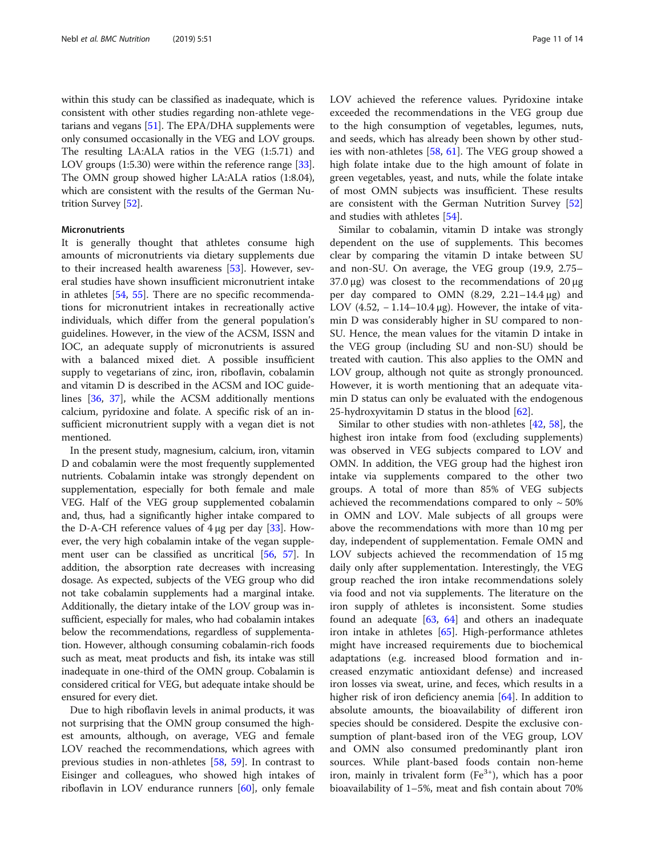within this study can be classified as inadequate, which is consistent with other studies regarding non-athlete vegetarians and vegans [\[51](#page-13-0)]. The EPA/DHA supplements were only consumed occasionally in the VEG and LOV groups. The resulting LA:ALA ratios in the VEG (1:5.71) and LOV groups (1:5.30) were within the reference range [[33](#page-12-0)]. The OMN group showed higher LA:ALA ratios (1:8.04), which are consistent with the results of the German Nutrition Survey [[52](#page-13-0)].

#### Micronutrients

It is generally thought that athletes consume high amounts of micronutrients via dietary supplements due to their increased health awareness [\[53](#page-13-0)]. However, several studies have shown insufficient micronutrient intake in athletes [[54](#page-13-0), [55](#page-13-0)]. There are no specific recommendations for micronutrient intakes in recreationally active individuals, which differ from the general population's guidelines. However, in the view of the ACSM, ISSN and IOC, an adequate supply of micronutrients is assured with a balanced mixed diet. A possible insufficient supply to vegetarians of zinc, iron, riboflavin, cobalamin and vitamin D is described in the ACSM and IOC guidelines [[36,](#page-12-0) [37\]](#page-12-0), while the ACSM additionally mentions calcium, pyridoxine and folate. A specific risk of an insufficient micronutrient supply with a vegan diet is not mentioned.

In the present study, magnesium, calcium, iron, vitamin D and cobalamin were the most frequently supplemented nutrients. Cobalamin intake was strongly dependent on supplementation, especially for both female and male VEG. Half of the VEG group supplemented cobalamin and, thus, had a significantly higher intake compared to the D-A-CH reference values of  $4\mu$ g per day [\[33\]](#page-12-0). However, the very high cobalamin intake of the vegan supplement user can be classified as uncritical [[56](#page-13-0), [57\]](#page-13-0). In addition, the absorption rate decreases with increasing dosage. As expected, subjects of the VEG group who did not take cobalamin supplements had a marginal intake. Additionally, the dietary intake of the LOV group was insufficient, especially for males, who had cobalamin intakes below the recommendations, regardless of supplementation. However, although consuming cobalamin-rich foods such as meat, meat products and fish, its intake was still inadequate in one-third of the OMN group. Cobalamin is considered critical for VEG, but adequate intake should be ensured for every diet.

Due to high riboflavin levels in animal products, it was not surprising that the OMN group consumed the highest amounts, although, on average, VEG and female LOV reached the recommendations, which agrees with previous studies in non-athletes [\[58](#page-13-0), [59](#page-13-0)]. In contrast to Eisinger and colleagues, who showed high intakes of riboflavin in LOV endurance runners [\[60](#page-13-0)], only female LOV achieved the reference values. Pyridoxine intake exceeded the recommendations in the VEG group due to the high consumption of vegetables, legumes, nuts, and seeds, which has already been shown by other studies with non-athletes [\[58,](#page-13-0) [61](#page-13-0)]. The VEG group showed a high folate intake due to the high amount of folate in green vegetables, yeast, and nuts, while the folate intake of most OMN subjects was insufficient. These results are consistent with the German Nutrition Survey [[52](#page-13-0)] and studies with athletes [[54\]](#page-13-0).

Similar to cobalamin, vitamin D intake was strongly dependent on the use of supplements. This becomes clear by comparing the vitamin D intake between SU and non-SU. On average, the VEG group (19.9, 2.75– 37.0 μg) was closest to the recommendations of  $20 \mu$ g per day compared to OMN (8.29, 2.21–14.4 μg) and LOV (4.52,  $-1.14-10.4 \mu$ g). However, the intake of vitamin D was considerably higher in SU compared to non-SU. Hence, the mean values for the vitamin D intake in the VEG group (including SU and non-SU) should be treated with caution. This also applies to the OMN and LOV group, although not quite as strongly pronounced. However, it is worth mentioning that an adequate vitamin D status can only be evaluated with the endogenous 25-hydroxyvitamin D status in the blood [\[62](#page-13-0)].

Similar to other studies with non-athletes [[42,](#page-13-0) [58\]](#page-13-0), the highest iron intake from food (excluding supplements) was observed in VEG subjects compared to LOV and OMN. In addition, the VEG group had the highest iron intake via supplements compared to the other two groups. A total of more than 85% of VEG subjects achieved the recommendations compared to only  $\sim$  50% in OMN and LOV. Male subjects of all groups were above the recommendations with more than 10 mg per day, independent of supplementation. Female OMN and LOV subjects achieved the recommendation of 15 mg daily only after supplementation. Interestingly, the VEG group reached the iron intake recommendations solely via food and not via supplements. The literature on the iron supply of athletes is inconsistent. Some studies found an adequate  $[63, 64]$  $[63, 64]$  $[63, 64]$  $[63, 64]$  and others an inadequate iron intake in athletes [\[65](#page-13-0)]. High-performance athletes might have increased requirements due to biochemical adaptations (e.g. increased blood formation and increased enzymatic antioxidant defense) and increased iron losses via sweat, urine, and feces, which results in a higher risk of iron deficiency anemia [\[64\]](#page-13-0). In addition to absolute amounts, the bioavailability of different iron species should be considered. Despite the exclusive consumption of plant-based iron of the VEG group, LOV and OMN also consumed predominantly plant iron sources. While plant-based foods contain non-heme iron, mainly in trivalent form  $(Fe<sup>3+</sup>)$ , which has a poor bioavailability of 1–5%, meat and fish contain about 70%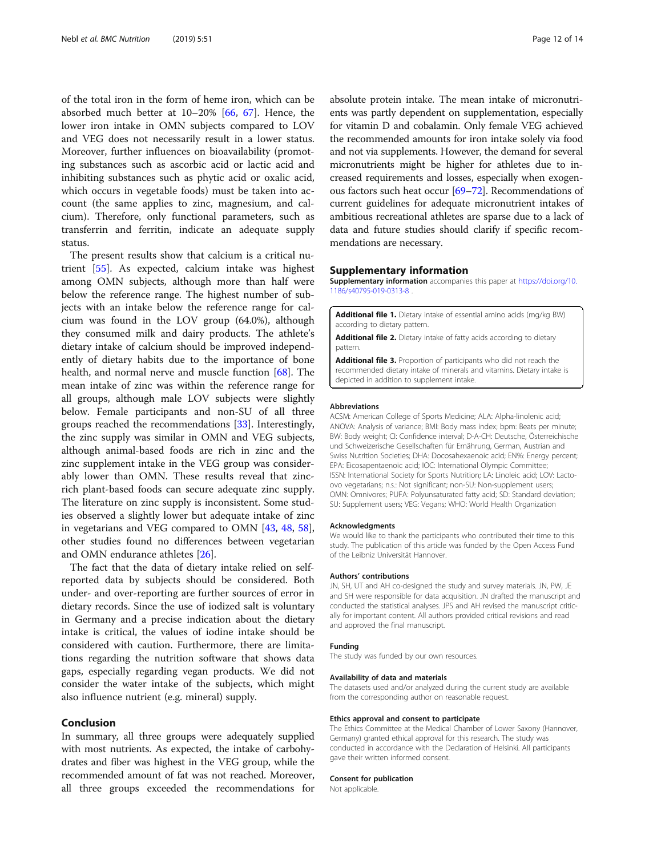<span id="page-11-0"></span>of the total iron in the form of heme iron, which can be absorbed much better at 10–20% [[66,](#page-13-0) [67](#page-13-0)]. Hence, the lower iron intake in OMN subjects compared to LOV and VEG does not necessarily result in a lower status. Moreover, further influences on bioavailability (promoting substances such as ascorbic acid or lactic acid and inhibiting substances such as phytic acid or oxalic acid, which occurs in vegetable foods) must be taken into account (the same applies to zinc, magnesium, and calcium). Therefore, only functional parameters, such as transferrin and ferritin, indicate an adequate supply status.

The present results show that calcium is a critical nutrient [\[55](#page-13-0)]. As expected, calcium intake was highest among OMN subjects, although more than half were below the reference range. The highest number of subjects with an intake below the reference range for calcium was found in the LOV group (64.0%), although they consumed milk and dairy products. The athlete's dietary intake of calcium should be improved independently of dietary habits due to the importance of bone health, and normal nerve and muscle function [[68\]](#page-13-0). The mean intake of zinc was within the reference range for all groups, although male LOV subjects were slightly below. Female participants and non-SU of all three groups reached the recommendations [[33\]](#page-12-0). Interestingly, the zinc supply was similar in OMN and VEG subjects, although animal-based foods are rich in zinc and the zinc supplement intake in the VEG group was considerably lower than OMN. These results reveal that zincrich plant-based foods can secure adequate zinc supply. The literature on zinc supply is inconsistent. Some studies observed a slightly lower but adequate intake of zinc in vegetarians and VEG compared to OMN [[43](#page-13-0), [48,](#page-13-0) [58](#page-13-0)], other studies found no differences between vegetarian and OMN endurance athletes [[26\]](#page-12-0).

The fact that the data of dietary intake relied on selfreported data by subjects should be considered. Both under- and over-reporting are further sources of error in dietary records. Since the use of iodized salt is voluntary in Germany and a precise indication about the dietary intake is critical, the values of iodine intake should be considered with caution. Furthermore, there are limitations regarding the nutrition software that shows data gaps, especially regarding vegan products. We did not consider the water intake of the subjects, which might also influence nutrient (e.g. mineral) supply.

#### Conclusion

In summary, all three groups were adequately supplied with most nutrients. As expected, the intake of carbohydrates and fiber was highest in the VEG group, while the recommended amount of fat was not reached. Moreover, all three groups exceeded the recommendations for

absolute protein intake. The mean intake of micronutrients was partly dependent on supplementation, especially for vitamin D and cobalamin. Only female VEG achieved the recommended amounts for iron intake solely via food and not via supplements. However, the demand for several micronutrients might be higher for athletes due to increased requirements and losses, especially when exogenous factors such heat occur [\[69](#page-13-0)–[72](#page-13-0)]. Recommendations of current guidelines for adequate micronutrient intakes of ambitious recreational athletes are sparse due to a lack of data and future studies should clarify if specific recommendations are necessary.

#### Supplementary information

Supplementary information accompanies this paper at [https://doi.org/10.](https://doi.org/10.1186/s40795-019-0313-8) [1186/s40795-019-0313-8](https://doi.org/10.1186/s40795-019-0313-8) .

Additional file 1. Dietary intake of essential amino acids (mg/kg BW) according to dietary pattern.

Additional file 2. Dietary intake of fatty acids according to dietary pattern.

Additional file 3. Proportion of participants who did not reach the recommended dietary intake of minerals and vitamins. Dietary intake is depicted in addition to supplement intake.

#### Abbreviations

ACSM: American College of Sports Medicine; ALA: Alpha-linolenic acid; ANOVA: Analysis of variance; BMI: Body mass index; bpm: Beats per minute; BW: Body weight; CI: Confidence interval; D-A-CH: Deutsche, Österreichische und Schweizerische Gesellschaften für Ernährung, German, Austrian and Swiss Nutrition Societies; DHA: Docosahexaenoic acid; EN%: Energy percent; EPA: Eicosapentaenoic acid; IOC: International Olympic Committee; ISSN: International Society for Sports Nutrition; LA: Linoleic acid; LOV: Lactoovo vegetarians; n.s.: Not significant; non-SU: Non-supplement users; OMN: Omnivores; PUFA: Polyunsaturated fatty acid; SD: Standard deviation; SU: Supplement users; VEG: Vegans; WHO: World Health Organization

#### Acknowledgments

We would like to thank the participants who contributed their time to this study. The publication of this article was funded by the Open Access Fund of the Leibniz Universität Hannover.

#### Authors' contributions

JN, SH, UT and AH co-designed the study and survey materials. JN, PW, JE and SH were responsible for data acquisition. JN drafted the manuscript and conducted the statistical analyses. JPS and AH revised the manuscript critically for important content. All authors provided critical revisions and read and approved the final manuscript.

#### Funding

The study was funded by our own resources.

#### Availability of data and materials

The datasets used and/or analyzed during the current study are available from the corresponding author on reasonable request.

#### Ethics approval and consent to participate

The Ethics Committee at the Medical Chamber of Lower Saxony (Hannover, Germany) granted ethical approval for this research. The study was conducted in accordance with the Declaration of Helsinki. All participants gave their written informed consent.

#### Consent for publication

Not applicable.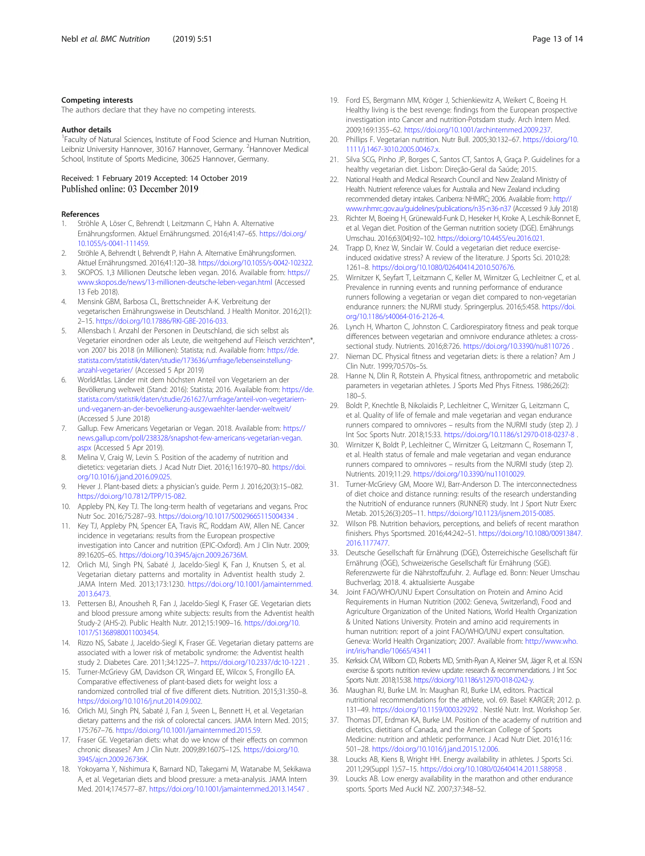#### <span id="page-12-0"></span>Competing interests

The authors declare that they have no competing interests.

#### Author details

<sup>1</sup> Faculty of Natural Sciences, Institute of Food Science and Human Nutrition, Leibniz University Hannover, 30167 Hannover, Germany. <sup>2</sup>Hannover Medical School, Institute of Sports Medicine, 30625 Hannover, Germany.

## Received: 1 February 2019 Accepted: 14 October 2019

#### References

- 1. Ströhle A, Löser C, Behrendt I, Leitzmann C, Hahn A. Alternative Ernährungsformen. Aktuel Ernährungsmed. 2016;41:47–65. [https://doi.org/](https://doi.org/10.1055/s-0041-111459) [10.1055/s-0041-111459.](https://doi.org/10.1055/s-0041-111459)
- 2. Ströhle A, Behrendt I, Behrendt P, Hahn A. Alternative Ernährungsformen. Aktuel Ernährungsmed. 2016;41:120–38. <https://doi.org/10.1055/s-0042-102322>.
- 3. SKOPOS. 1,3 Millionen Deutsche leben vegan. 2016. Available from: [https://](https://www.skopos.de/news/13-millionen-deutsche-leben-vegan.html) [www.skopos.de/news/13-millionen-deutsche-leben-vegan.html](https://www.skopos.de/news/13-millionen-deutsche-leben-vegan.html) (Accessed 13 Feb 2018).
- 4. Mensink GBM, Barbosa CL, Brettschneider A-K. Verbreitung der vegetarischen Ernährungsweise in Deutschland. J Health Monitor. 2016;2(1): 2–15. <https://doi.org/10.17886/RKI-GBE-2016-033>.
- 5. Allensbach I. Anzahl der Personen in Deutschland, die sich selbst als Vegetarier einordnen oder als Leute, die weitgehend auf Fleisch verzichten\*, von 2007 bis 2018 (in Millionen): Statista; n.d. Available from: [https://de.](https://de.statista.com/statistik/daten/studie/173636/umfrage/lebenseinstellung-anzahl-vegetarier/) [statista.com/statistik/daten/studie/173636/umfrage/lebenseinstellung](https://de.statista.com/statistik/daten/studie/173636/umfrage/lebenseinstellung-anzahl-vegetarier/)[anzahl-vegetarier/](https://de.statista.com/statistik/daten/studie/173636/umfrage/lebenseinstellung-anzahl-vegetarier/) (Accessed 5 Apr 2019)
- 6. WorldAtlas. Länder mit dem höchsten Anteil von Vegetariern an der Bevölkerung weltweit (Stand: 2016): Statista; 2016. Available from: [https://de.](https://de.statista.com/statistik/daten/studie/261627/umfrage/anteil-von-vegetariern-und-veganern-an-der-bevoelkerung-ausgewaehlter-laender-weltweit/) [statista.com/statistik/daten/studie/261627/umfrage/anteil-von-vegetariern](https://de.statista.com/statistik/daten/studie/261627/umfrage/anteil-von-vegetariern-und-veganern-an-der-bevoelkerung-ausgewaehlter-laender-weltweit/)[und-veganern-an-der-bevoelkerung-ausgewaehlter-laender-weltweit/](https://de.statista.com/statistik/daten/studie/261627/umfrage/anteil-von-vegetariern-und-veganern-an-der-bevoelkerung-ausgewaehlter-laender-weltweit/) (Accessed 5 June 2018)
- Gallup. Few Americans Vegetarian or Vegan. 2018. Available from: [https://](https://news.gallup.com/poll/238328/snapshot-few-americans-vegetarian-vegan.aspx) [news.gallup.com/poll/238328/snapshot-few-americans-vegetarian-vegan.](https://news.gallup.com/poll/238328/snapshot-few-americans-vegetarian-vegan.aspx) [aspx](https://news.gallup.com/poll/238328/snapshot-few-americans-vegetarian-vegan.aspx) (Accessed 5 Apr 2019).
- 8. Melina V, Craig W, Levin S. Position of the academy of nutrition and dietetics: vegetarian diets. J Acad Nutr Diet. 2016;116:1970–80. [https://doi.](https://doi.org/10.1016/j.jand.2016.09.025) [org/10.1016/j.jand.2016.09.025](https://doi.org/10.1016/j.jand.2016.09.025).
- 9. Hever J. Plant-based diets: a physician's guide. Perm J. 2016;20(3):15–082. [https://doi.org/10.7812/TPP/15-082.](https://doi.org/10.7812/TPP/15-082)
- 10. Appleby PN, Key TJ. The long-term health of vegetarians and vegans. Proc Nutr Soc. 2016;75:287–93. <https://doi.org/10.1017/S0029665115004334> .
- 11. Key TJ, Appleby PN, Spencer EA, Travis RC, Roddam AW, Allen NE. Cancer incidence in vegetarians: results from the European prospective investigation into Cancer and nutrition (EPIC-Oxford). Am J Clin Nutr. 2009; 89:1620S–6S. [https://doi.org/10.3945/ajcn.2009.26736M.](https://doi.org/10.3945/ajcn.2009.26736M)
- 12. Orlich MJ, Singh PN, Sabaté J, Jaceldo-Siegl K, Fan J, Knutsen S, et al. Vegetarian dietary patterns and mortality in Adventist health study 2. JAMA Intern Med. 2013;173:1230. [https://doi.org/10.1001/jamainternmed.](https://doi.org/10.1001/jamainternmed.2013.6473) [2013.6473.](https://doi.org/10.1001/jamainternmed.2013.6473)
- 13. Pettersen BJ, Anousheh R, Fan J, Jaceldo-Siegl K, Fraser GE. Vegetarian diets and blood pressure among white subjects: results from the Adventist health Study-2 (AHS-2). Public Health Nutr. 2012;15:1909–16. [https://doi.org/10.](https://doi.org/10.1017/S1368980011003454) [1017/S1368980011003454.](https://doi.org/10.1017/S1368980011003454)
- 14. Rizzo NS, Sabate J, Jaceldo-Siegl K, Fraser GE. Vegetarian dietary patterns are associated with a lower risk of metabolic syndrome: the Adventist health study 2. Diabetes Care. 2011;34:1225–7. <https://doi.org/10.2337/dc10-1221> .
- 15. Turner-McGrievy GM, Davidson CR, Wingard EE, Wilcox S, Frongillo EA. Comparative effectiveness of plant-based diets for weight loss: a randomized controlled trial of five different diets. Nutrition. 2015;31:350–8. <https://doi.org/10.1016/j.nut.2014.09.002>.
- 16. Orlich MJ, Singh PN, Sabaté J, Fan J, Sveen L, Bennett H, et al. Vegetarian dietary patterns and the risk of colorectal cancers. JAMA Intern Med. 2015; 175:767–76. [https://doi.org/10.1001/jamainternmed.2015.59.](https://doi.org/10.1001/jamainternmed.2015.59)
- 17. Fraser GE. Vegetarian diets: what do we know of their effects on common chronic diseases? Am J Clin Nutr. 2009;89:1607S–12S. [https://doi.org/10.](https://doi.org/10.3945/ajcn.2009.26736K) [3945/ajcn.2009.26736K.](https://doi.org/10.3945/ajcn.2009.26736K)
- 18. Yokoyama Y, Nishimura K, Barnard ND, Takegami M, Watanabe M, Sekikawa A, et al. Vegetarian diets and blood pressure: a meta-analysis. JAMA Intern Med. 2014;174:577–87. <https://doi.org/10.1001/jamainternmed.2013.14547> .
- 19. Ford ES, Bergmann MM, Kröger J, Schienkiewitz A, Weikert C, Boeing H. Healthy living is the best revenge: findings from the European prospective investigation into Cancer and nutrition-Potsdam study. Arch Intern Med. 2009;169:1355–62. [https://doi.org/10.1001/archinternmed.2009.237.](https://doi.org/10.1001/archinternmed.2009.237)
- 20. Phillips F. Vegetarian nutrition. Nutr Bull. 2005;30:132–67. [https://doi.org/10.](https://doi.org/10.1111/j.1467-3010.2005.00467.x) [1111/j.1467-3010.2005.00467.x](https://doi.org/10.1111/j.1467-3010.2005.00467.x).
- 21. Silva SCG, Pinho JP, Borges C, Santos CT, Santos A, Graça P. Guidelines for a healthy vegetarian diet. Lisbon: Direção-Geral da Saúde; 2015.
- 22. National Health and Medical Research Council and New Zealand Ministry of Health. Nutrient reference values for Australia and New Zealand including recommended dietary intakes. Canberra: NHMRC; 2006. Available from: [http://](http://www.nhmrc.gov.au/guidelines/publications/n35-n36-n37) [www.nhmrc.gov.au/guidelines/publications/n35-n36-n37](http://www.nhmrc.gov.au/guidelines/publications/n35-n36-n37) (Accessed 9 July 2018)
- 23. Richter M, Boeing H, Grünewald-Funk D, Heseker H, Kroke A, Leschik-Bonnet E, et al. Vegan diet. Position of the German nutrition society (DGE). Ernährungs Umschau. 2016;63(04):92–102. [https://doi.org/10.4455/eu.2016.021.](https://doi.org/10.4455/eu.2016.021)
- 24. Trapp D, Knez W, Sinclair W. Could a vegetarian diet reduce exerciseinduced oxidative stress? A review of the literature. J Sports Sci. 2010;28: 1261–8. [https://doi.org/10.1080/02640414.2010.507676.](https://doi.org/10.1080/02640414.2010.507676)
- 25. Wirnitzer K, Seyfart T, Leitzmann C, Keller M, Wirnitzer G, Lechleitner C, et al. Prevalence in running events and running performance of endurance runners following a vegetarian or vegan diet compared to non-vegetarian endurance runners: the NURMI study. Springerplus. 2016;5:458. [https://doi.](https://doi.org/10.1186/s40064-016-2126-4) [org/10.1186/s40064-016-2126-4](https://doi.org/10.1186/s40064-016-2126-4).
- 26. Lynch H, Wharton C, Johnston C. Cardiorespiratory fitness and peak torque differences between vegetarian and omnivore endurance athletes: a crosssectional study. Nutrients. 2016;8:726. <https://doi.org/10.3390/nu8110726> .
- 27. Nieman DC. Physical fitness and vegetarian diets: is there a relation? Am J Clin Nutr. 1999;70:570s–5s.
- 28. Hanne N, Dlin R, Rotstein A. Physical fitness, anthropometric and metabolic parameters in vegetarian athletes. J Sports Med Phys Fitness. 1986;26(2): 180–5.
- 29. Boldt P, Knechtle B, Nikolaidis P, Lechleitner C, Wirnitzer G, Leitzmann C, et al. Quality of life of female and male vegetarian and vegan endurance runners compared to omnivores – results from the NURMI study (step 2). J Int Soc Sports Nutr. 2018;15:33. <https://doi.org/10.1186/s12970-018-0237-8> .
- 30. Wirnitzer K, Boldt P, Lechleitner C, Wirnitzer G, Leitzmann C, Rosemann T, et al. Health status of female and male vegetarian and vegan endurance runners compared to omnivores – results from the NURMI study (step 2). Nutrients. 2019;11:29. [https://doi.org/10.3390/nu11010029.](https://doi.org/10.3390/nu11010029)
- 31. Turner-McGrievy GM, Moore WJ, Barr-Anderson D. The interconnectedness of diet choice and distance running: results of the research understanding the NutritioN of endurance runners (RUNNER) study. Int J Sport Nutr Exerc Metab. 2015;26(3):205–11. <https://doi.org/10.1123/ijsnem.2015-0085>.
- 32. Wilson PB. Nutrition behaviors, perceptions, and beliefs of recent marathon finishers. Phys Sportsmed. 2016;44:242–51. [https://doi.org/10.1080/00913847.](https://doi.org/10.1080/00913847.2016.1177477) [2016.1177477](https://doi.org/10.1080/00913847.2016.1177477).
- 33. Deutsche Gesellschaft für Ernährung (DGE), Österreichische Gesellschaft für Ernährung (ÖGE), Schweizerische Gesellschaft für Ernährung (SGE). Referenzwerte für die Nährstoffzufuhr. 2. Auflage ed. Bonn: Neuer Umschau Buchverlag; 2018. 4. aktualisierte Ausgabe
- 34. Joint FAO/WHO/UNU Expert Consultation on Protein and Amino Acid Requirements in Human Nutrition (2002: Geneva, Switzerland), Food and Agriculture Organization of the United Nations, World Health Organization & United Nations University. Protein and amino acid requirements in human nutrition: report of a joint FAO/WHO/UNU expert consultation. Geneva: World Health Organization; 2007. Available from: [http://www.who.](http://www.who.int/iris/handle/10665/43411) [int/iris/handle/10665/43411](http://www.who.int/iris/handle/10665/43411)
- 35. Kerksick CM, Wilborn CD, Roberts MD, Smith-Ryan A, Kleiner SM, Jäger R, et al. ISSN exercise & sports nutrition review update: research & recommendations. J Int Soc Sports Nutr. 2018;15:38. <https://doi.org/10.1186/s12970-018-0242-y>.
- 36. Maughan RJ, Burke LM. In: Maughan RJ, Burke LM, editors. Practical nutritional recommendations for the athlete, vol. 69. Basel: KARGER; 2012. p. 131–49. <https://doi.org/10.1159/000329292> . Nestlé Nutr. Inst. Workshop Ser.
- 37. Thomas DT, Erdman KA, Burke LM. Position of the academy of nutrition and dietetics, dietitians of Canada, and the American College of Sports Medicine: nutrition and athletic performance. J Acad Nutr Diet. 2016;116: 501–28. <https://doi.org/10.1016/j.jand.2015.12.006>.
- Loucks AB, Kiens B, Wright HH. Energy availability in athletes. J Sports Sci. 2011;29(Suppl 1):S7–15. <https://doi.org/10.1080/02640414.2011.588958> .
- 39. Loucks AB. Low energy availability in the marathon and other endurance sports. Sports Med Auckl NZ. 2007;37:348–52.